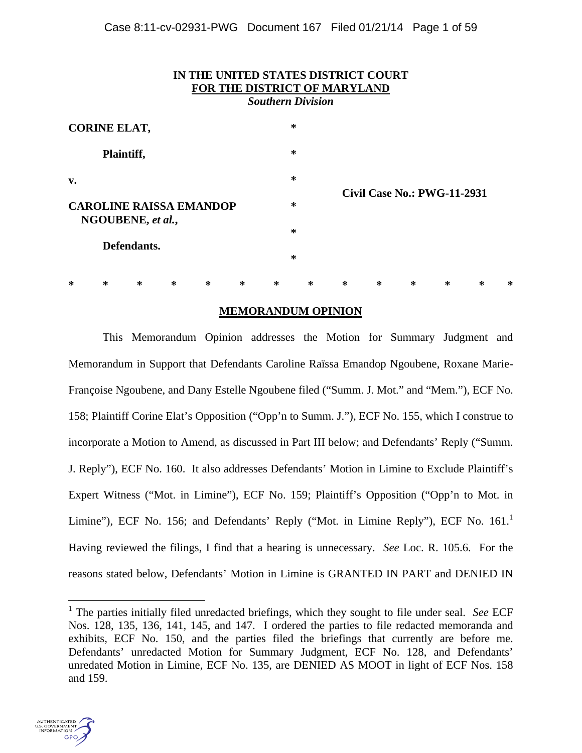| IN THE UNITED STATES DISTRICT COURT<br>FOR THE DISTRICT OF MARYLAND<br><b>Southern Division</b> |   |        |        |   |   |                                         |   |        |        |        |   |   |   |   |  |
|-------------------------------------------------------------------------------------------------|---|--------|--------|---|---|-----------------------------------------|---|--------|--------|--------|---|---|---|---|--|
| <b>CORINE ELAT,</b><br>Plaintiff,                                                               |   |        |        |   |   |                                         | ∗ |        |        |        |   |   |   |   |  |
|                                                                                                 |   |        |        |   |   | ∗                                       |   |        |        |        |   |   |   |   |  |
| $\mathbf{v}$ .                                                                                  |   |        |        |   |   | ∗<br><b>Civil Case No.: PWG-11-2931</b> |   |        |        |        |   |   |   |   |  |
| <b>CAROLINE RAISSA EMANDOP</b><br>NGOUBENE, et al.,                                             |   |        |        |   |   | $\ast$                                  |   |        |        |        |   |   |   |   |  |
|                                                                                                 |   |        |        |   |   | ∗                                       |   |        |        |        |   |   |   |   |  |
| Defendants.                                                                                     |   |        |        |   |   |                                         | ∗ |        |        |        |   |   |   |   |  |
| ∗                                                                                               | ∗ | $\ast$ | $\ast$ | ∗ | ∗ | ∗                                       |   | $\ast$ | $\ast$ | $\ast$ | ∗ | ∗ | ∗ | ∗ |  |

# **MEMORANDUM OPINION**

This Memorandum Opinion addresses the Motion for Summary Judgment and Memorandum in Support that Defendants Caroline Raïssa Emandop Ngoubene, Roxane Marie-Françoise Ngoubene, and Dany Estelle Ngoubene filed ("Summ. J. Mot." and "Mem."), ECF No. 158; Plaintiff Corine Elat's Opposition ("Opp'n to Summ. J."), ECF No. 155, which I construe to incorporate a Motion to Amend, as discussed in Part III below; and Defendants' Reply ("Summ. J. Reply"), ECF No. 160. It also addresses Defendants' Motion in Limine to Exclude Plaintiff's Expert Witness ("Mot. in Limine"), ECF No. 159; Plaintiff's Opposition ("Opp'n to Mot. in Limine"), ECF No. 156; and Defendants' Reply ("Mot. in Limine Reply"), ECF No.  $161<sup>1</sup>$ Having reviewed the filings, I find that a hearing is unnecessary. *See* Loc. R. 105.6. For the reasons stated below, Defendants' Motion in Limine is GRANTED IN PART and DENIED IN

<sup>&</sup>lt;sup>1</sup> The parties initially filed unredacted briefings, which they sought to file under seal. *See* ECF Nos. 128, 135, 136, 141, 145, and 147. I ordered the parties to file redacted memoranda and exhibits, ECF No. 150, and the parties filed the briefings that currently are before me. Defendants' unredacted Motion for Summary Judgment, ECF No. 128, and Defendants' unredated Motion in Limine, ECF No. 135, are DENIED AS MOOT in light of ECF Nos. 158 and 159.

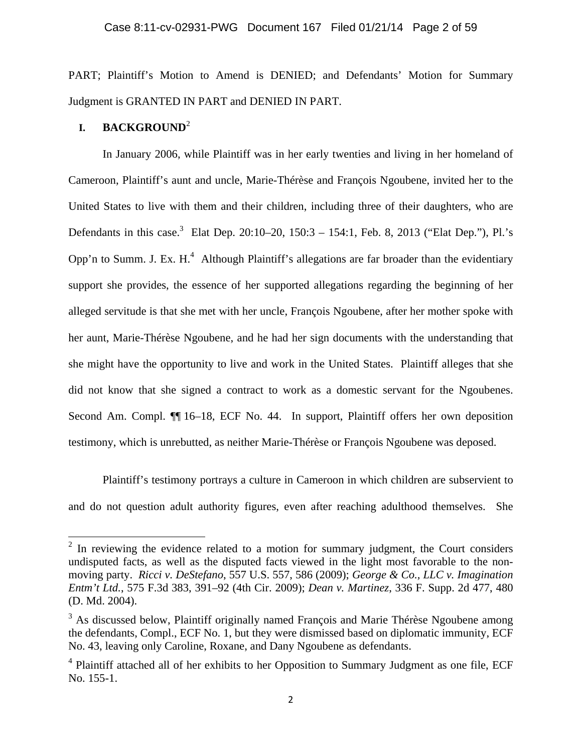PART; Plaintiff's Motion to Amend is DENIED; and Defendants' Motion for Summary Judgment is GRANTED IN PART and DENIED IN PART.

# **I. BACKGROUND**<sup>2</sup>

In January 2006, while Plaintiff was in her early twenties and living in her homeland of Cameroon, Plaintiff's aunt and uncle, Marie-Thérèse and François Ngoubene, invited her to the United States to live with them and their children, including three of their daughters, who are Defendants in this case.<sup>3</sup> Elat Dep. 20:10–20, 150:3 – 154:1, Feb. 8, 2013 ("Elat Dep."), Pl.'s Opp'n to Summ. J. Ex.  $H<sup>4</sup>$  Although Plaintiff's allegations are far broader than the evidentiary support she provides, the essence of her supported allegations regarding the beginning of her alleged servitude is that she met with her uncle, François Ngoubene, after her mother spoke with her aunt, Marie-Thérèse Ngoubene, and he had her sign documents with the understanding that she might have the opportunity to live and work in the United States. Plaintiff alleges that she did not know that she signed a contract to work as a domestic servant for the Ngoubenes. Second Am. Compl.  $\P$  16–18, ECF No. 44. In support, Plaintiff offers her own deposition testimony, which is unrebutted, as neither Marie-Thérèse or François Ngoubene was deposed.

Plaintiff's testimony portrays a culture in Cameroon in which children are subservient to and do not question adult authority figures, even after reaching adulthood themselves. She

<sup>&</sup>lt;sup>2</sup> In reviewing the evidence related to a motion for summary judgment, the Court considers undisputed facts, as well as the disputed facts viewed in the light most favorable to the nonmoving party. *Ricci v. DeStefano*, 557 U.S. 557, 586 (2009); *George & Co., LLC v. Imagination Entm't Ltd.*, 575 F.3d 383, 391–92 (4th Cir. 2009); *Dean v. Martinez*, 336 F. Supp. 2d 477, 480 (D. Md. 2004).

 $3$  As discussed below, Plaintiff originally named François and Marie Thérèse Ngoubene among the defendants, Compl., ECF No. 1, but they were dismissed based on diplomatic immunity, ECF No. 43, leaving only Caroline, Roxane, and Dany Ngoubene as defendants.

<sup>&</sup>lt;sup>4</sup> Plaintiff attached all of her exhibits to her Opposition to Summary Judgment as one file, ECF No. 155-1.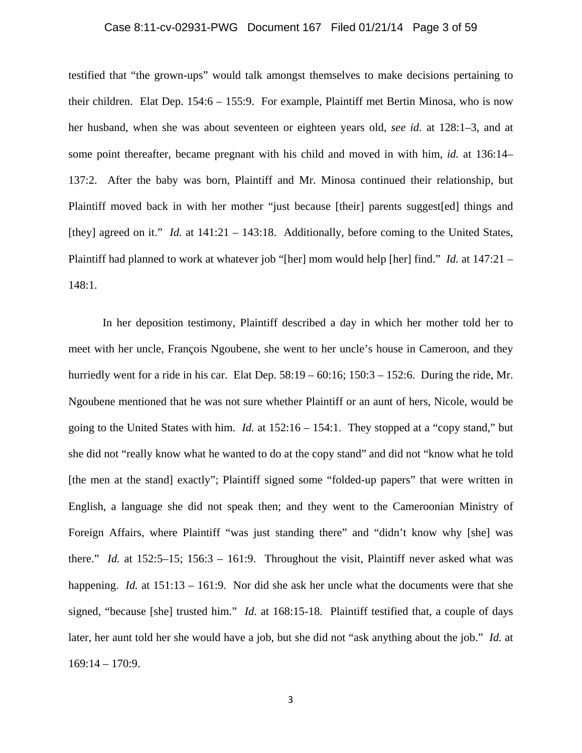### Case 8:11-cv-02931-PWG Document 167 Filed 01/21/14 Page 3 of 59

testified that "the grown-ups" would talk amongst themselves to make decisions pertaining to their children. Elat Dep. 154:6 – 155:9. For example, Plaintiff met Bertin Minosa, who is now her husband, when she was about seventeen or eighteen years old, *see id.* at 128:1–3, and at some point thereafter, became pregnant with his child and moved in with him, *id.* at 136:14– 137:2. After the baby was born, Plaintiff and Mr. Minosa continued their relationship, but Plaintiff moved back in with her mother "just because [their] parents suggest[ed] things and [they] agreed on it." *Id.* at 141:21 – 143:18. Additionally, before coming to the United States, Plaintiff had planned to work at whatever job "[her] mom would help [her] find." *Id.* at 147:21 – 148:1.

In her deposition testimony, Plaintiff described a day in which her mother told her to meet with her uncle, François Ngoubene, she went to her uncle's house in Cameroon, and they hurriedly went for a ride in his car. Elat Dep.  $58:19 - 60:16$ ;  $150:3 - 152:6$ . During the ride, Mr. Ngoubene mentioned that he was not sure whether Plaintiff or an aunt of hers, Nicole, would be going to the United States with him. *Id.* at 152:16 – 154:1. They stopped at a "copy stand," but she did not "really know what he wanted to do at the copy stand" and did not "know what he told [the men at the stand] exactly"; Plaintiff signed some "folded-up papers" that were written in English, a language she did not speak then; and they went to the Cameroonian Ministry of Foreign Affairs, where Plaintiff "was just standing there" and "didn't know why [she] was there." *Id.* at 152:5–15; 156:3 – 161:9. Throughout the visit, Plaintiff never asked what was happening. *Id.* at 151:13 – 161:9. Nor did she ask her uncle what the documents were that she signed, "because [she] trusted him." *Id.* at 168:15-18. Plaintiff testified that, a couple of days later, her aunt told her she would have a job, but she did not "ask anything about the job." *Id.* at 169:14 – 170:9.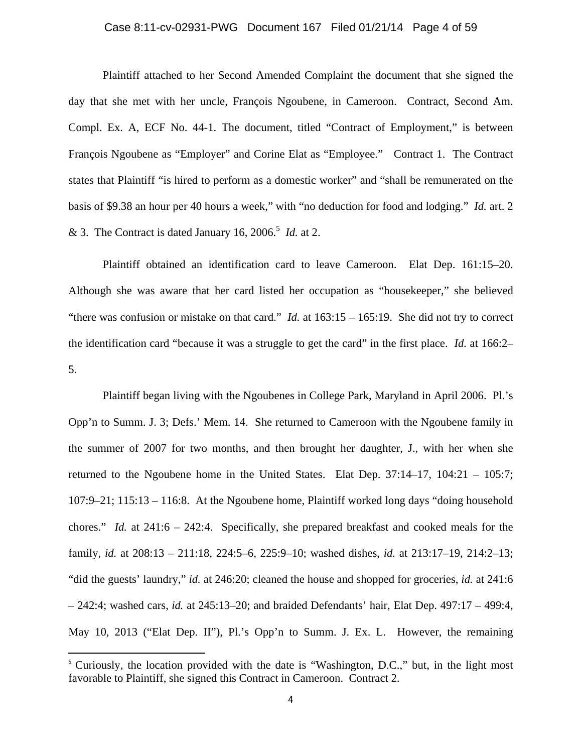# Case 8:11-cv-02931-PWG Document 167 Filed 01/21/14 Page 4 of 59

Plaintiff attached to her Second Amended Complaint the document that she signed the day that she met with her uncle, François Ngoubene, in Cameroon. Contract, Second Am. Compl. Ex. A, ECF No. 44-1. The document, titled "Contract of Employment," is between François Ngoubene as "Employer" and Corine Elat as "Employee." Contract 1. The Contract states that Plaintiff "is hired to perform as a domestic worker" and "shall be remunerated on the basis of \$9.38 an hour per 40 hours a week," with "no deduction for food and lodging." *Id.* art. 2 & 3. The Contract is dated January 16, 2006.<sup>5</sup> *Id.* at 2.

Plaintiff obtained an identification card to leave Cameroon. Elat Dep. 161:15–20. Although she was aware that her card listed her occupation as "housekeeper," she believed "there was confusion or mistake on that card." *Id.* at 163:15 – 165:19. She did not try to correct the identification card "because it was a struggle to get the card" in the first place. *Id.* at 166:2– 5.

Plaintiff began living with the Ngoubenes in College Park, Maryland in April 2006. Pl.'s Opp'n to Summ. J. 3; Defs.' Mem. 14. She returned to Cameroon with the Ngoubene family in the summer of 2007 for two months, and then brought her daughter, J., with her when she returned to the Ngoubene home in the United States. Elat Dep. 37:14–17, 104:21 – 105:7; 107:9–21; 115:13 – 116:8. At the Ngoubene home, Plaintiff worked long days "doing household chores." *Id.* at 241:6 – 242:4. Specifically, she prepared breakfast and cooked meals for the family, *id.* at 208:13 – 211:18, 224:5–6, 225:9–10; washed dishes, *id.* at 213:17–19, 214:2–13; "did the guests' laundry," *id.* at 246:20; cleaned the house and shopped for groceries, *id.* at 241:6 – 242:4; washed cars, *id.* at 245:13–20; and braided Defendants' hair, Elat Dep. 497:17 – 499:4, May 10, 2013 ("Elat Dep. II"), Pl.'s Opp'n to Summ. J. Ex. L. However, the remaining

<sup>&</sup>lt;sup>5</sup> Curiously, the location provided with the date is "Washington, D.C.," but, in the light most favorable to Plaintiff, she signed this Contract in Cameroon. Contract 2.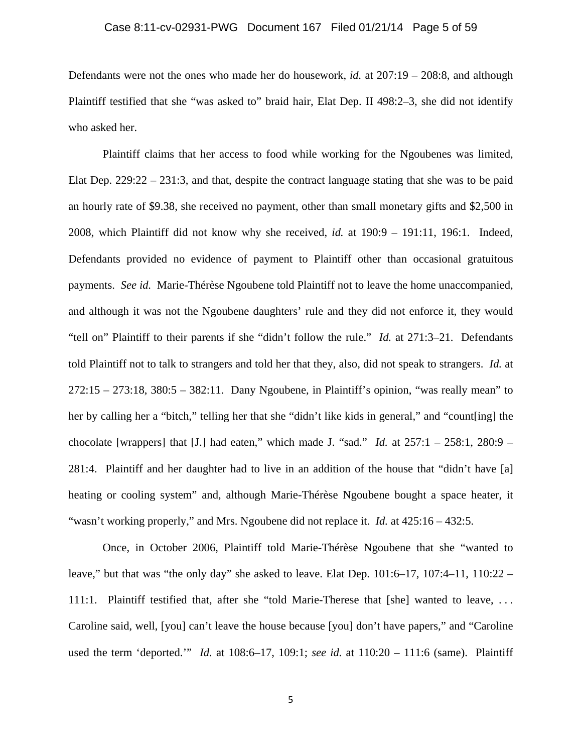#### Case 8:11-cv-02931-PWG Document 167 Filed 01/21/14 Page 5 of 59

Defendants were not the ones who made her do housework, *id.* at 207:19 – 208:8, and although Plaintiff testified that she "was asked to" braid hair, Elat Dep. II 498:2–3, she did not identify who asked her.

Plaintiff claims that her access to food while working for the Ngoubenes was limited, Elat Dep.  $229:22 - 231:3$ , and that, despite the contract language stating that she was to be paid an hourly rate of \$9.38, she received no payment, other than small monetary gifts and \$2,500 in 2008, which Plaintiff did not know why she received, *id.* at 190:9 – 191:11, 196:1. Indeed, Defendants provided no evidence of payment to Plaintiff other than occasional gratuitous payments. *See id.* Marie-Thérèse Ngoubene told Plaintiff not to leave the home unaccompanied, and although it was not the Ngoubene daughters' rule and they did not enforce it, they would "tell on" Plaintiff to their parents if she "didn't follow the rule." *Id.* at 271:3–21. Defendants told Plaintiff not to talk to strangers and told her that they, also, did not speak to strangers. *Id.* at 272:15 – 273:18, 380:5 – 382:11. Dany Ngoubene, in Plaintiff's opinion, "was really mean" to her by calling her a "bitch," telling her that she "didn't like kids in general," and "count[ing] the chocolate [wrappers] that [J.] had eaten," which made J. "sad." *Id.* at 257:1 – 258:1, 280:9 – 281:4. Plaintiff and her daughter had to live in an addition of the house that "didn't have [a] heating or cooling system" and, although Marie-Thérèse Ngoubene bought a space heater, it "wasn't working properly," and Mrs. Ngoubene did not replace it. *Id.* at 425:16 – 432:5.

Once, in October 2006, Plaintiff told Marie-Thérèse Ngoubene that she "wanted to leave," but that was "the only day" she asked to leave. Elat Dep.  $101:6-17$ ,  $107:4-11$ ,  $110:22-$ 111:1. Plaintiff testified that, after she "told Marie-Therese that [she] wanted to leave, . . . Caroline said, well, [you] can't leave the house because [you] don't have papers," and "Caroline used the term 'deported.'" *Id.* at 108:6–17, 109:1; *see id.* at 110:20 – 111:6 (same). Plaintiff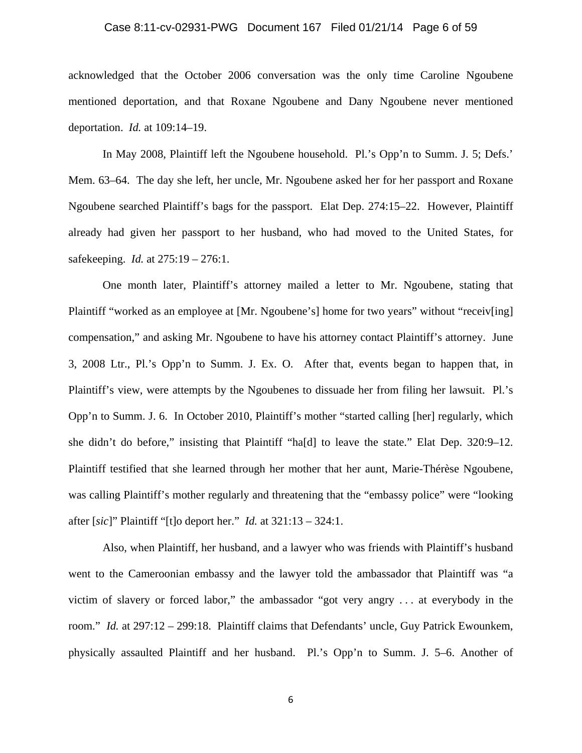#### Case 8:11-cv-02931-PWG Document 167 Filed 01/21/14 Page 6 of 59

acknowledged that the October 2006 conversation was the only time Caroline Ngoubene mentioned deportation, and that Roxane Ngoubene and Dany Ngoubene never mentioned deportation. *Id.* at 109:14–19.

In May 2008, Plaintiff left the Ngoubene household. Pl.'s Opp'n to Summ. J. 5; Defs.' Mem. 63–64. The day she left, her uncle, Mr. Ngoubene asked her for her passport and Roxane Ngoubene searched Plaintiff's bags for the passport. Elat Dep. 274:15–22. However, Plaintiff already had given her passport to her husband, who had moved to the United States, for safekeeping. *Id.* at 275:19 – 276:1.

One month later, Plaintiff's attorney mailed a letter to Mr. Ngoubene, stating that Plaintiff "worked as an employee at [Mr. Ngoubene's] home for two years" without "receiv[ing] compensation," and asking Mr. Ngoubene to have his attorney contact Plaintiff's attorney. June 3, 2008 Ltr., Pl.'s Opp'n to Summ. J. Ex. O. After that, events began to happen that, in Plaintiff's view, were attempts by the Ngoubenes to dissuade her from filing her lawsuit. Pl.'s Opp'n to Summ. J. 6. In October 2010, Plaintiff's mother "started calling [her] regularly, which she didn't do before," insisting that Plaintiff "ha[d] to leave the state." Elat Dep. 320:9–12. Plaintiff testified that she learned through her mother that her aunt, Marie-Thérèse Ngoubene, was calling Plaintiff's mother regularly and threatening that the "embassy police" were "looking after [*sic*]" Plaintiff "[t]o deport her." *Id.* at 321:13 – 324:1.

Also, when Plaintiff, her husband, and a lawyer who was friends with Plaintiff's husband went to the Cameroonian embassy and the lawyer told the ambassador that Plaintiff was "a victim of slavery or forced labor," the ambassador "got very angry . . . at everybody in the room." *Id.* at 297:12 – 299:18. Plaintiff claims that Defendants' uncle, Guy Patrick Ewounkem, physically assaulted Plaintiff and her husband. Pl.'s Opp'n to Summ. J. 5–6. Another of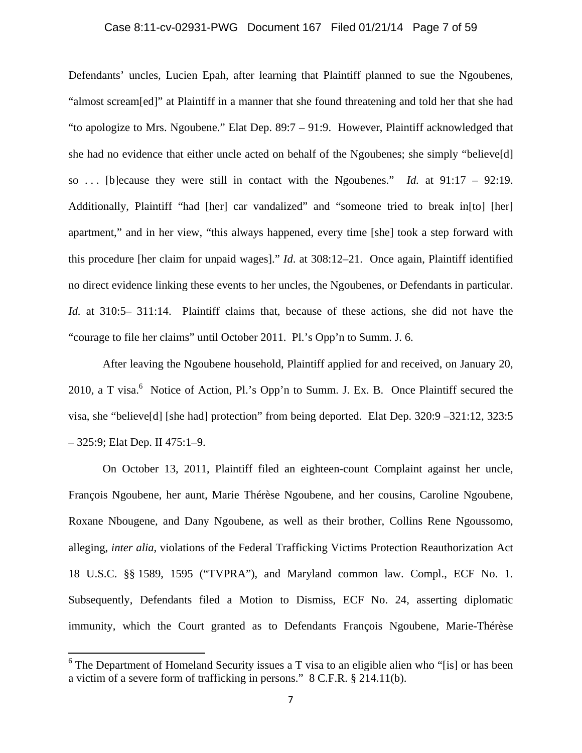# Case 8:11-cv-02931-PWG Document 167 Filed 01/21/14 Page 7 of 59

Defendants' uncles, Lucien Epah, after learning that Plaintiff planned to sue the Ngoubenes, "almost scream[ed]" at Plaintiff in a manner that she found threatening and told her that she had "to apologize to Mrs. Ngoubene." Elat Dep. 89:7 – 91:9. However, Plaintiff acknowledged that she had no evidence that either uncle acted on behalf of the Ngoubenes; she simply "believe[d] so . . . [b]ecause they were still in contact with the Ngoubenes." *Id.* at 91:17 – 92:19. Additionally, Plaintiff "had [her] car vandalized" and "someone tried to break in[to] [her] apartment," and in her view, "this always happened, every time [she] took a step forward with this procedure [her claim for unpaid wages]." *Id*. at 308:12–21. Once again, Plaintiff identified no direct evidence linking these events to her uncles, the Ngoubenes, or Defendants in particular. *Id.* at 310:5– 311:14. Plaintiff claims that, because of these actions, she did not have the "courage to file her claims" until October 2011. Pl.'s Opp'n to Summ. J. 6.

After leaving the Ngoubene household, Plaintiff applied for and received, on January 20, 2010, a T visa. $^{6}$  Notice of Action, Pl.'s Opp'n to Summ. J. Ex. B. Once Plaintiff secured the visa, she "believe[d] [she had] protection" from being deported. Elat Dep. 320:9 –321:12, 323:5 – 325:9; Elat Dep. II 475:1–9.

On October 13, 2011, Plaintiff filed an eighteen-count Complaint against her uncle, François Ngoubene, her aunt, Marie Thérèse Ngoubene, and her cousins, Caroline Ngoubene, Roxane Nbougene, and Dany Ngoubene, as well as their brother, Collins Rene Ngoussomo, alleging, *inter alia*, violations of the Federal Trafficking Victims Protection Reauthorization Act 18 U.S.C. §§ 1589, 1595 ("TVPRA"), and Maryland common law. Compl., ECF No. 1. Subsequently, Defendants filed a Motion to Dismiss, ECF No. 24, asserting diplomatic immunity, which the Court granted as to Defendants François Ngoubene, Marie-Thérèse

 $6$  The Department of Homeland Security issues a T visa to an eligible alien who "[is] or has been a victim of a severe form of trafficking in persons." 8 C.F.R. § 214.11(b).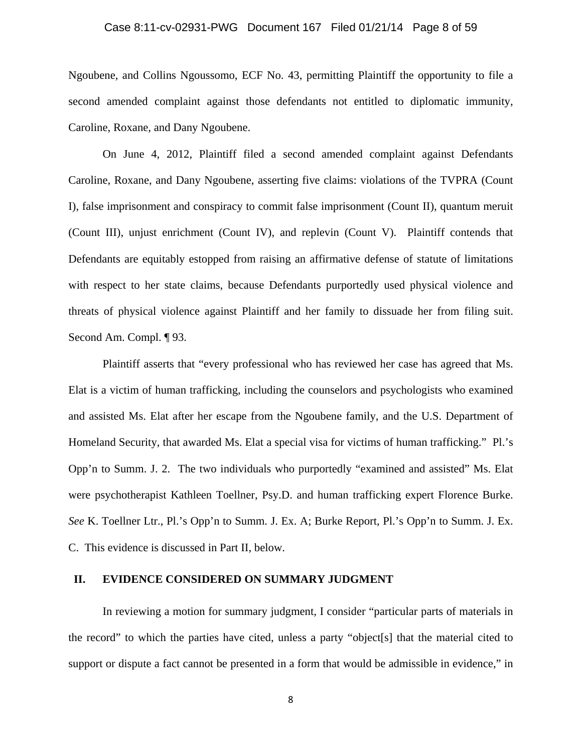#### Case 8:11-cv-02931-PWG Document 167 Filed 01/21/14 Page 8 of 59

Ngoubene, and Collins Ngoussomo, ECF No. 43, permitting Plaintiff the opportunity to file a second amended complaint against those defendants not entitled to diplomatic immunity, Caroline, Roxane, and Dany Ngoubene.

On June 4, 2012, Plaintiff filed a second amended complaint against Defendants Caroline, Roxane, and Dany Ngoubene, asserting five claims: violations of the TVPRA (Count I), false imprisonment and conspiracy to commit false imprisonment (Count II), quantum meruit (Count III), unjust enrichment (Count IV), and replevin (Count V). Plaintiff contends that Defendants are equitably estopped from raising an affirmative defense of statute of limitations with respect to her state claims, because Defendants purportedly used physical violence and threats of physical violence against Plaintiff and her family to dissuade her from filing suit. Second Am. Compl. ¶ 93.

Plaintiff asserts that "every professional who has reviewed her case has agreed that Ms. Elat is a victim of human trafficking, including the counselors and psychologists who examined and assisted Ms. Elat after her escape from the Ngoubene family, and the U.S. Department of Homeland Security, that awarded Ms. Elat a special visa for victims of human trafficking." Pl.'s Opp'n to Summ. J. 2. The two individuals who purportedly "examined and assisted" Ms. Elat were psychotherapist Kathleen Toellner, Psy.D. and human trafficking expert Florence Burke. *See* K. Toellner Ltr., Pl.'s Opp'n to Summ. J. Ex. A; Burke Report, Pl.'s Opp'n to Summ. J. Ex. C. This evidence is discussed in Part II, below.

#### **II. EVIDENCE CONSIDERED ON SUMMARY JUDGMENT**

In reviewing a motion for summary judgment, I consider "particular parts of materials in the record" to which the parties have cited, unless a party "object[s] that the material cited to support or dispute a fact cannot be presented in a form that would be admissible in evidence," in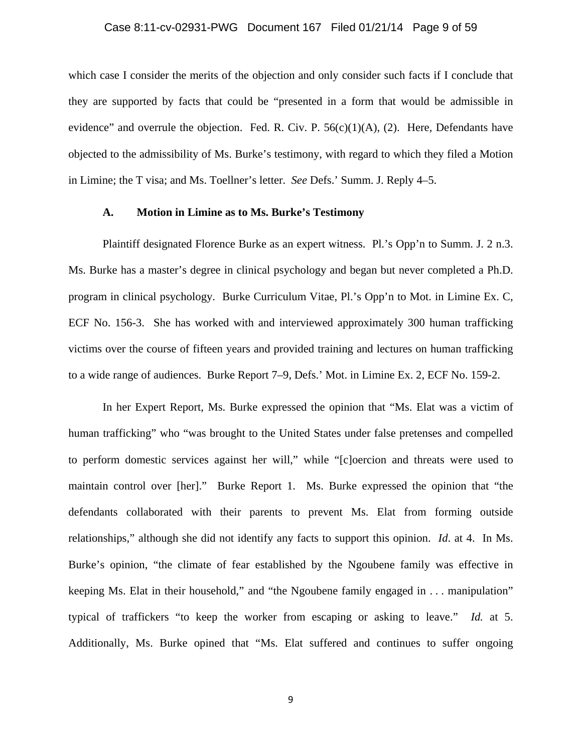#### Case 8:11-cv-02931-PWG Document 167 Filed 01/21/14 Page 9 of 59

which case I consider the merits of the objection and only consider such facts if I conclude that they are supported by facts that could be "presented in a form that would be admissible in evidence" and overrule the objection. Fed. R. Civ. P.  $56(c)(1)(A)$ , (2). Here, Defendants have objected to the admissibility of Ms. Burke's testimony, with regard to which they filed a Motion in Limine; the T visa; and Ms. Toellner's letter. *See* Defs.' Summ. J. Reply 4–5.

#### **A. Motion in Limine as to Ms. Burke's Testimony**

Plaintiff designated Florence Burke as an expert witness. Pl.'s Opp'n to Summ. J. 2 n.3. Ms. Burke has a master's degree in clinical psychology and began but never completed a Ph.D. program in clinical psychology. Burke Curriculum Vitae, Pl.'s Opp'n to Mot. in Limine Ex. C, ECF No. 156-3. She has worked with and interviewed approximately 300 human trafficking victims over the course of fifteen years and provided training and lectures on human trafficking to a wide range of audiences. Burke Report 7–9, Defs.' Mot. in Limine Ex. 2, ECF No. 159-2.

In her Expert Report, Ms. Burke expressed the opinion that "Ms. Elat was a victim of human trafficking" who "was brought to the United States under false pretenses and compelled to perform domestic services against her will," while "[c]oercion and threats were used to maintain control over [her]." Burke Report 1. Ms. Burke expressed the opinion that "the defendants collaborated with their parents to prevent Ms. Elat from forming outside relationships," although she did not identify any facts to support this opinion. *Id*. at 4. In Ms. Burke's opinion, "the climate of fear established by the Ngoubene family was effective in keeping Ms. Elat in their household," and "the Ngoubene family engaged in . . . manipulation" typical of traffickers "to keep the worker from escaping or asking to leave." *Id.* at 5. Additionally, Ms. Burke opined that "Ms. Elat suffered and continues to suffer ongoing

9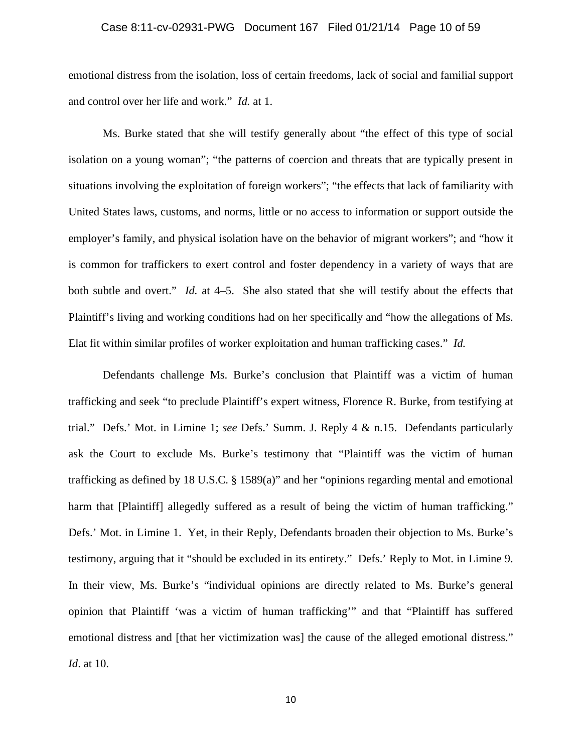## Case 8:11-cv-02931-PWG Document 167 Filed 01/21/14 Page 10 of 59

emotional distress from the isolation, loss of certain freedoms, lack of social and familial support and control over her life and work." *Id.* at 1.

Ms. Burke stated that she will testify generally about "the effect of this type of social isolation on a young woman"; "the patterns of coercion and threats that are typically present in situations involving the exploitation of foreign workers"; "the effects that lack of familiarity with United States laws, customs, and norms, little or no access to information or support outside the employer's family, and physical isolation have on the behavior of migrant workers"; and "how it is common for traffickers to exert control and foster dependency in a variety of ways that are both subtle and overt." *Id.* at 4–5. She also stated that she will testify about the effects that Plaintiff's living and working conditions had on her specifically and "how the allegations of Ms. Elat fit within similar profiles of worker exploitation and human trafficking cases." *Id.*

Defendants challenge Ms. Burke's conclusion that Plaintiff was a victim of human trafficking and seek "to preclude Plaintiff's expert witness, Florence R. Burke, from testifying at trial." Defs.' Mot. in Limine 1; *see* Defs.' Summ. J. Reply 4 & n.15. Defendants particularly ask the Court to exclude Ms. Burke's testimony that "Plaintiff was the victim of human trafficking as defined by 18 U.S.C. § 1589(a)" and her "opinions regarding mental and emotional harm that [Plaintiff] allegedly suffered as a result of being the victim of human trafficking." Defs.' Mot. in Limine 1. Yet, in their Reply, Defendants broaden their objection to Ms. Burke's testimony, arguing that it "should be excluded in its entirety." Defs.' Reply to Mot. in Limine 9. In their view, Ms. Burke's "individual opinions are directly related to Ms. Burke's general opinion that Plaintiff 'was a victim of human trafficking'" and that "Plaintiff has suffered emotional distress and [that her victimization was] the cause of the alleged emotional distress." *Id*. at 10.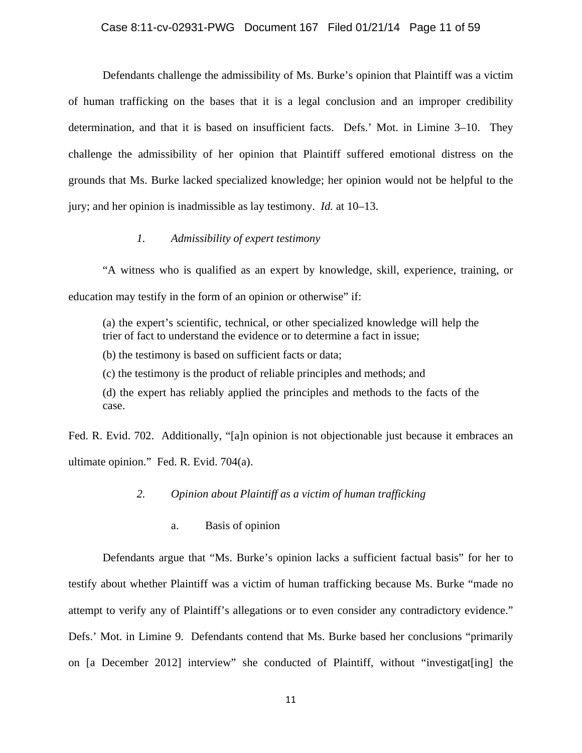# Case 8:11-cv-02931-PWG Document 167 Filed 01/21/14 Page 11 of 59

Defendants challenge the admissibility of Ms. Burke's opinion that Plaintiff was a victim of human trafficking on the bases that it is a legal conclusion and an improper credibility determination, and that it is based on insufficient facts. Defs.' Mot. in Limine 3–10. They challenge the admissibility of her opinion that Plaintiff suffered emotional distress on the grounds that Ms. Burke lacked specialized knowledge; her opinion would not be helpful to the jury; and her opinion is inadmissible as lay testimony. *Id.* at 10–13.

#### *1. Admissibility of expert testimony*

"A witness who is qualified as an expert by knowledge, skill, experience, training, or education may testify in the form of an opinion or otherwise" if:

(a) the expert's scientific, technical, or other specialized knowledge will help the trier of fact to understand the evidence or to determine a fact in issue;

(b) the testimony is based on sufficient facts or data;

(c) the testimony is the product of reliable principles and methods; and

(d) the expert has reliably applied the principles and methods to the facts of the case.

Fed. R. Evid. 702. Additionally, "[a]n opinion is not objectionable just because it embraces an ultimate opinion." Fed. R. Evid. 704(a).

#### *2. Opinion about Plaintiff as a victim of human trafficking*

a. Basis of opinion

Defendants argue that "Ms. Burke's opinion lacks a sufficient factual basis" for her to testify about whether Plaintiff was a victim of human trafficking because Ms. Burke "made no attempt to verify any of Plaintiff's allegations or to even consider any contradictory evidence." Defs.' Mot. in Limine 9. Defendants contend that Ms. Burke based her conclusions "primarily on [a December 2012] interview" she conducted of Plaintiff, without "investigat[ing] the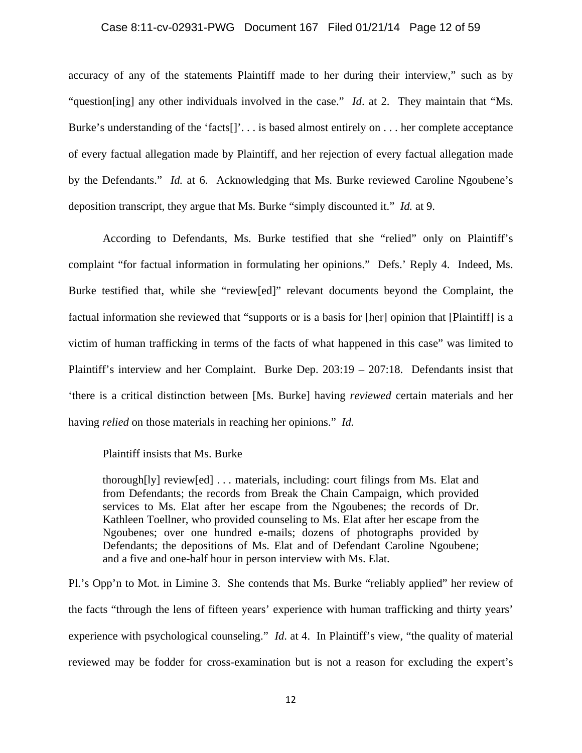#### Case 8:11-cv-02931-PWG Document 167 Filed 01/21/14 Page 12 of 59

accuracy of any of the statements Plaintiff made to her during their interview," such as by "question[ing] any other individuals involved in the case." *Id*. at 2. They maintain that "Ms. Burke's understanding of the 'facts[]'. . . is based almost entirely on . . . her complete acceptance of every factual allegation made by Plaintiff, and her rejection of every factual allegation made by the Defendants." *Id.* at 6. Acknowledging that Ms. Burke reviewed Caroline Ngoubene's deposition transcript, they argue that Ms. Burke "simply discounted it." *Id.* at 9.

According to Defendants, Ms. Burke testified that she "relied" only on Plaintiff's complaint "for factual information in formulating her opinions." Defs.' Reply 4. Indeed, Ms. Burke testified that, while she "review[ed]" relevant documents beyond the Complaint, the factual information she reviewed that "supports or is a basis for [her] opinion that [Plaintiff] is a victim of human trafficking in terms of the facts of what happened in this case" was limited to Plaintiff's interview and her Complaint. Burke Dep. 203:19 – 207:18. Defendants insist that 'there is a critical distinction between [Ms. Burke] having *reviewed* certain materials and her having *relied* on those materials in reaching her opinions." *Id.* 

#### Plaintiff insists that Ms. Burke

thorough[ly] review[ed] . . . materials, including: court filings from Ms. Elat and from Defendants; the records from Break the Chain Campaign, which provided services to Ms. Elat after her escape from the Ngoubenes; the records of Dr. Kathleen Toellner, who provided counseling to Ms. Elat after her escape from the Ngoubenes; over one hundred e-mails; dozens of photographs provided by Defendants; the depositions of Ms. Elat and of Defendant Caroline Ngoubene; and a five and one-half hour in person interview with Ms. Elat.

Pl.'s Opp'n to Mot. in Limine 3. She contends that Ms. Burke "reliably applied" her review of the facts "through the lens of fifteen years' experience with human trafficking and thirty years' experience with psychological counseling." *Id*. at 4. In Plaintiff's view, "the quality of material reviewed may be fodder for cross-examination but is not a reason for excluding the expert's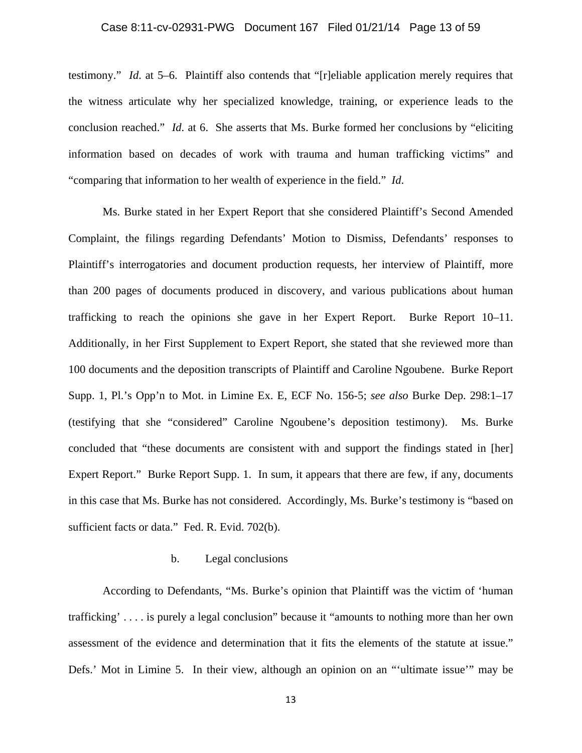### Case 8:11-cv-02931-PWG Document 167 Filed 01/21/14 Page 13 of 59

testimony." *Id*. at 5–6. Plaintiff also contends that "[r]eliable application merely requires that the witness articulate why her specialized knowledge, training, or experience leads to the conclusion reached." *Id*. at 6. She asserts that Ms. Burke formed her conclusions by "eliciting information based on decades of work with trauma and human trafficking victims" and "comparing that information to her wealth of experience in the field." *Id*.

 Ms. Burke stated in her Expert Report that she considered Plaintiff's Second Amended Complaint, the filings regarding Defendants' Motion to Dismiss, Defendants' responses to Plaintiff's interrogatories and document production requests, her interview of Plaintiff, more than 200 pages of documents produced in discovery, and various publications about human trafficking to reach the opinions she gave in her Expert Report. Burke Report 10–11. Additionally, in her First Supplement to Expert Report, she stated that she reviewed more than 100 documents and the deposition transcripts of Plaintiff and Caroline Ngoubene. Burke Report Supp. 1, Pl.'s Opp'n to Mot. in Limine Ex. E, ECF No. 156-5; *see also* Burke Dep. 298:1–17 (testifying that she "considered" Caroline Ngoubene's deposition testimony). Ms. Burke concluded that "these documents are consistent with and support the findings stated in [her] Expert Report." Burke Report Supp. 1. In sum, it appears that there are few, if any, documents in this case that Ms. Burke has not considered. Accordingly, Ms. Burke's testimony is "based on sufficient facts or data." Fed. R. Evid. 702(b).

#### b. Legal conclusions

According to Defendants, "Ms. Burke's opinion that Plaintiff was the victim of 'human trafficking' . . . . is purely a legal conclusion" because it "amounts to nothing more than her own assessment of the evidence and determination that it fits the elements of the statute at issue." Defs.' Mot in Limine 5. In their view, although an opinion on an "'ultimate issue'" may be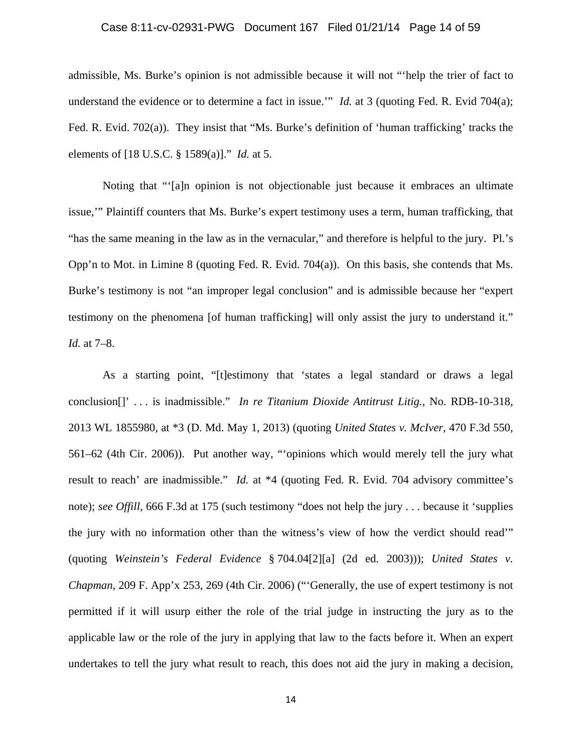### Case 8:11-cv-02931-PWG Document 167 Filed 01/21/14 Page 14 of 59

admissible, Ms. Burke's opinion is not admissible because it will not "'help the trier of fact to understand the evidence or to determine a fact in issue." *Id.* at 3 (quoting Fed. R. Evid 704(a); Fed. R. Evid. 702(a)). They insist that "Ms. Burke's definition of 'human trafficking' tracks the elements of [18 U.S.C. § 1589(a)]." *Id.* at 5.

Noting that "'[a]n opinion is not objectionable just because it embraces an ultimate issue,'" Plaintiff counters that Ms. Burke's expert testimony uses a term, human trafficking, that "has the same meaning in the law as in the vernacular," and therefore is helpful to the jury. Pl.'s Opp'n to Mot. in Limine 8 (quoting Fed. R. Evid. 704(a)). On this basis, she contends that Ms. Burke's testimony is not "an improper legal conclusion" and is admissible because her "expert testimony on the phenomena [of human trafficking] will only assist the jury to understand it." *Id.* at 7–8.

As a starting point, "[t]estimony that 'states a legal standard or draws a legal conclusion[]' . . . is inadmissible." *In re Titanium Dioxide Antitrust Litig.*, No. RDB-10-318, 2013 WL 1855980, at \*3 (D. Md. May 1, 2013) (quoting *United States v. McIver*, 470 F.3d 550, 561–62 (4th Cir. 2006)). Put another way, "'opinions which would merely tell the jury what result to reach' are inadmissible." *Id.* at \*4 (quoting Fed. R. Evid. 704 advisory committee's note); *see Offill*, 666 F.3d at 175 (such testimony "does not help the jury . . . because it 'supplies the jury with no information other than the witness's view of how the verdict should read'" (quoting *Weinstein's Federal Evidence* § 704.04[2][a] (2d ed. 2003))); *United States v. Chapman*, 209 F. App'x 253, 269 (4th Cir. 2006) ("'Generally, the use of expert testimony is not permitted if it will usurp either the role of the trial judge in instructing the jury as to the applicable law or the role of the jury in applying that law to the facts before it. When an expert undertakes to tell the jury what result to reach, this does not aid the jury in making a decision,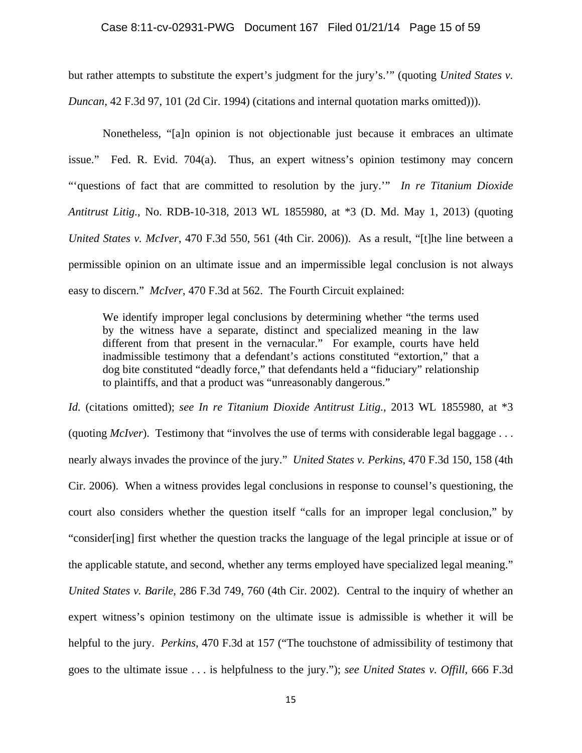but rather attempts to substitute the expert's judgment for the jury's.'" (quoting *United States v. Duncan*, 42 F.3d 97, 101 (2d Cir. 1994) (citations and internal quotation marks omitted))).

Nonetheless, "[a]n opinion is not objectionable just because it embraces an ultimate issue." Fed. R. Evid. 704(a). Thus, an expert witness's opinion testimony may concern "'questions of fact that are committed to resolution by the jury.'" *In re Titanium Dioxide Antitrust Litig.*, No. RDB-10-318, 2013 WL 1855980, at \*3 (D. Md. May 1, 2013) (quoting *United States v. McIver*, 470 F.3d 550, 561 (4th Cir. 2006)). As a result, "[t]he line between a permissible opinion on an ultimate issue and an impermissible legal conclusion is not always easy to discern." *McIver*, 470 F.3d at 562. The Fourth Circuit explained:

We identify improper legal conclusions by determining whether "the terms used by the witness have a separate, distinct and specialized meaning in the law different from that present in the vernacular." For example, courts have held inadmissible testimony that a defendant's actions constituted "extortion," that a dog bite constituted "deadly force," that defendants held a "fiduciary" relationship to plaintiffs, and that a product was "unreasonably dangerous."

*Id.* (citations omitted); *see In re Titanium Dioxide Antitrust Litig.*, 2013 WL 1855980, at \*3 (quoting *McIver*). Testimony that "involves the use of terms with considerable legal baggage . . . nearly always invades the province of the jury." *United States v. Perkins*, 470 F.3d 150, 158 (4th Cir. 2006). When a witness provides legal conclusions in response to counsel's questioning, the court also considers whether the question itself "calls for an improper legal conclusion," by "consider[ing] first whether the question tracks the language of the legal principle at issue or of the applicable statute, and second, whether any terms employed have specialized legal meaning." *United States v. Barile*, 286 F.3d 749, 760 (4th Cir. 2002). Central to the inquiry of whether an expert witness's opinion testimony on the ultimate issue is admissible is whether it will be helpful to the jury. *Perkins*, 470 F.3d at 157 ("The touchstone of admissibility of testimony that goes to the ultimate issue . . . is helpfulness to the jury."); *see United States v. Offill*, 666 F.3d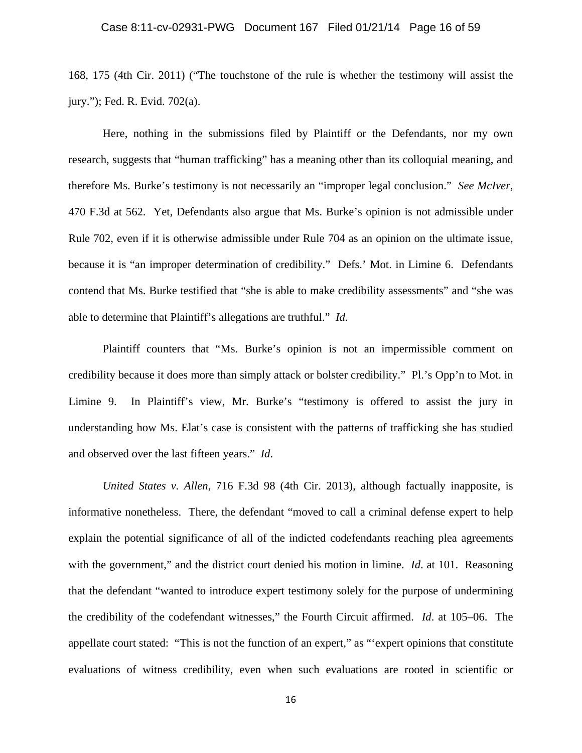168, 175 (4th Cir. 2011) ("The touchstone of the rule is whether the testimony will assist the jury."); Fed. R. Evid. 702(a).

 Here, nothing in the submissions filed by Plaintiff or the Defendants, nor my own research, suggests that "human trafficking" has a meaning other than its colloquial meaning, and therefore Ms. Burke's testimony is not necessarily an "improper legal conclusion." *See McIver*, 470 F.3d at 562. Yet, Defendants also argue that Ms. Burke's opinion is not admissible under Rule 702, even if it is otherwise admissible under Rule 704 as an opinion on the ultimate issue, because it is "an improper determination of credibility." Defs.' Mot. in Limine 6. Defendants contend that Ms. Burke testified that "she is able to make credibility assessments" and "she was able to determine that Plaintiff's allegations are truthful." *Id.*

Plaintiff counters that "Ms. Burke's opinion is not an impermissible comment on credibility because it does more than simply attack or bolster credibility." Pl.'s Opp'n to Mot. in Limine 9. In Plaintiff's view, Mr. Burke's "testimony is offered to assist the jury in understanding how Ms. Elat's case is consistent with the patterns of trafficking she has studied and observed over the last fifteen years." *Id*.

*United States v. Allen*, 716 F.3d 98 (4th Cir. 2013), although factually inapposite, is informative nonetheless. There, the defendant "moved to call a criminal defense expert to help explain the potential significance of all of the indicted codefendants reaching plea agreements with the government," and the district court denied his motion in limine. *Id.* at 101. Reasoning that the defendant "wanted to introduce expert testimony solely for the purpose of undermining the credibility of the codefendant witnesses," the Fourth Circuit affirmed. *Id*. at 105–06. The appellate court stated: "This is not the function of an expert," as "'expert opinions that constitute evaluations of witness credibility, even when such evaluations are rooted in scientific or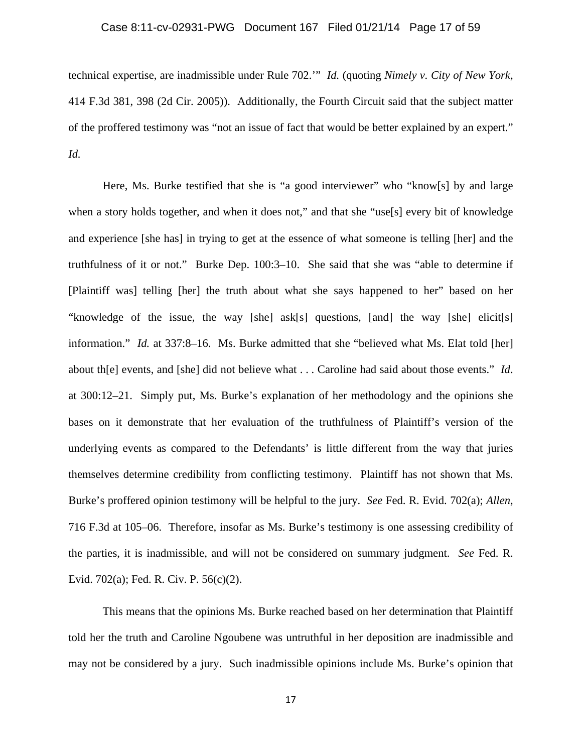# Case 8:11-cv-02931-PWG Document 167 Filed 01/21/14 Page 17 of 59

technical expertise, are inadmissible under Rule 702.'" *Id.* (quoting *Nimely v. City of New York*, 414 F.3d 381, 398 (2d Cir. 2005)). Additionally, the Fourth Circuit said that the subject matter of the proffered testimony was "not an issue of fact that would be better explained by an expert." *Id.* 

Here, Ms. Burke testified that she is "a good interviewer" who "know[s] by and large when a story holds together, and when it does not," and that she "use[s] every bit of knowledge and experience [she has] in trying to get at the essence of what someone is telling [her] and the truthfulness of it or not." Burke Dep. 100:3–10. She said that she was "able to determine if [Plaintiff was] telling [her] the truth about what she says happened to her" based on her "knowledge of the issue, the way [she] ask[s] questions, [and] the way [she] elicit[s] information." *Id.* at 337:8–16. Ms. Burke admitted that she "believed what Ms. Elat told [her] about th[e] events, and [she] did not believe what . . . Caroline had said about those events." *Id*. at 300:12–21. Simply put, Ms. Burke's explanation of her methodology and the opinions she bases on it demonstrate that her evaluation of the truthfulness of Plaintiff's version of the underlying events as compared to the Defendants' is little different from the way that juries themselves determine credibility from conflicting testimony. Plaintiff has not shown that Ms. Burke's proffered opinion testimony will be helpful to the jury. *See* Fed. R. Evid. 702(a); *Allen*, 716 F.3d at 105–06. Therefore, insofar as Ms. Burke's testimony is one assessing credibility of the parties, it is inadmissible, and will not be considered on summary judgment. *See* Fed. R. Evid. 702(a); Fed. R. Civ. P. 56(c)(2).

This means that the opinions Ms. Burke reached based on her determination that Plaintiff told her the truth and Caroline Ngoubene was untruthful in her deposition are inadmissible and may not be considered by a jury. Such inadmissible opinions include Ms. Burke's opinion that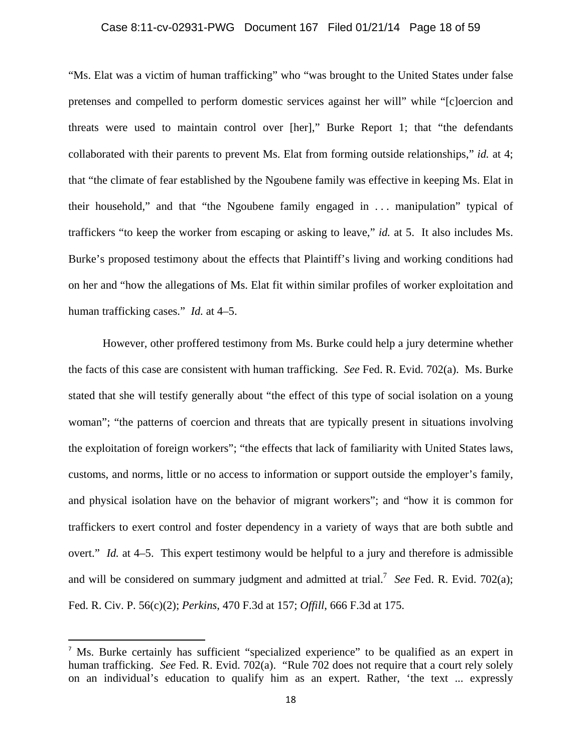# Case 8:11-cv-02931-PWG Document 167 Filed 01/21/14 Page 18 of 59

"Ms. Elat was a victim of human trafficking" who "was brought to the United States under false pretenses and compelled to perform domestic services against her will" while "[c]oercion and threats were used to maintain control over [her]," Burke Report 1; that "the defendants collaborated with their parents to prevent Ms. Elat from forming outside relationships," *id.* at 4; that "the climate of fear established by the Ngoubene family was effective in keeping Ms. Elat in their household," and that "the Ngoubene family engaged in . . . manipulation" typical of traffickers "to keep the worker from escaping or asking to leave," *id.* at 5. It also includes Ms. Burke's proposed testimony about the effects that Plaintiff's living and working conditions had on her and "how the allegations of Ms. Elat fit within similar profiles of worker exploitation and human trafficking cases." *Id.* at 4–5.

However, other proffered testimony from Ms. Burke could help a jury determine whether the facts of this case are consistent with human trafficking. *See* Fed. R. Evid. 702(a). Ms. Burke stated that she will testify generally about "the effect of this type of social isolation on a young woman"; "the patterns of coercion and threats that are typically present in situations involving the exploitation of foreign workers"; "the effects that lack of familiarity with United States laws, customs, and norms, little or no access to information or support outside the employer's family, and physical isolation have on the behavior of migrant workers"; and "how it is common for traffickers to exert control and foster dependency in a variety of ways that are both subtle and overt." *Id.* at 4–5. This expert testimony would be helpful to a jury and therefore is admissible and will be considered on summary judgment and admitted at trial.<sup>7</sup> See Fed. R. Evid. 702(a); Fed. R. Civ. P. 56(c)(2); *Perkins*, 470 F.3d at 157; *Offill*, 666 F.3d at 175.

<sup>&</sup>lt;sup>7</sup> Ms. Burke certainly has sufficient "specialized experience" to be qualified as an expert in human trafficking. *See* Fed. R. Evid. 702(a). "Rule 702 does not require that a court rely solely on an individual's education to qualify him as an expert. Rather, 'the text ... expressly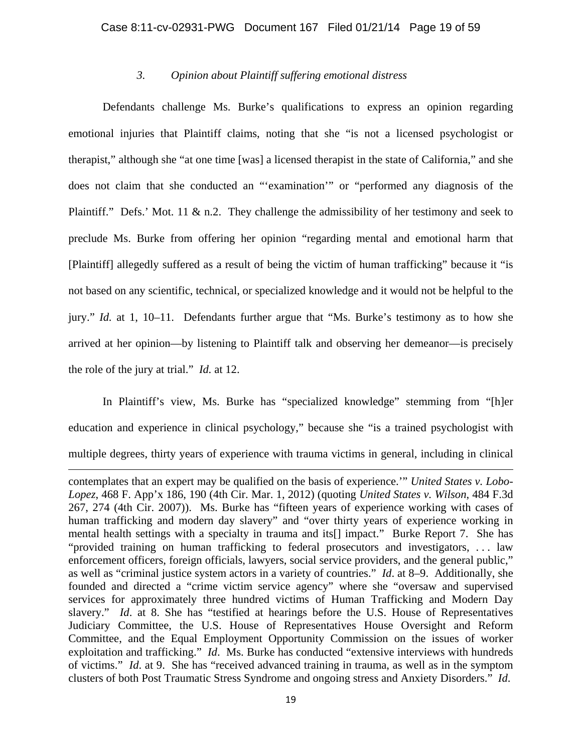# *3. Opinion about Plaintiff suffering emotional distress*

Defendants challenge Ms. Burke's qualifications to express an opinion regarding emotional injuries that Plaintiff claims, noting that she "is not a licensed psychologist or therapist," although she "at one time [was] a licensed therapist in the state of California," and she does not claim that she conducted an "'examination'" or "performed any diagnosis of the Plaintiff." Defs.' Mot. 11 & n.2. They challenge the admissibility of her testimony and seek to preclude Ms. Burke from offering her opinion "regarding mental and emotional harm that [Plaintiff] allegedly suffered as a result of being the victim of human trafficking" because it "is not based on any scientific, technical, or specialized knowledge and it would not be helpful to the jury." *Id.* at 1, 10–11. Defendants further argue that "Ms. Burke's testimony as to how she arrived at her opinion—by listening to Plaintiff talk and observing her demeanor—is precisely the role of the jury at trial." *Id.* at 12.

In Plaintiff's view, Ms. Burke has "specialized knowledge" stemming from "[h]er education and experience in clinical psychology," because she "is a trained psychologist with multiple degrees, thirty years of experience with trauma victims in general, including in clinical

<u> 1989 - Johann Stein, marwolaethau a gweledydd a ganlad y ganlad y ganlad y ganlad y ganlad y ganlad y ganlad</u>

contemplates that an expert may be qualified on the basis of experience.'" *United States v. Lobo-Lopez*, 468 F. App'x 186, 190 (4th Cir. Mar. 1, 2012) (quoting *United States v. Wilson*, 484 F.3d 267, 274 (4th Cir. 2007)). Ms. Burke has "fifteen years of experience working with cases of human trafficking and modern day slavery" and "over thirty years of experience working in mental health settings with a specialty in trauma and its[] impact." Burke Report 7. She has "provided training on human trafficking to federal prosecutors and investigators, . . . law enforcement officers, foreign officials, lawyers, social service providers, and the general public," as well as "criminal justice system actors in a variety of countries." *Id*. at 8–9. Additionally, she founded and directed a "crime victim service agency" where she "oversaw and supervised services for approximately three hundred victims of Human Trafficking and Modern Day slavery." *Id*. at 8. She has "testified at hearings before the U.S. House of Representatives Judiciary Committee, the U.S. House of Representatives House Oversight and Reform Committee, and the Equal Employment Opportunity Commission on the issues of worker exploitation and trafficking." *Id*. Ms. Burke has conducted "extensive interviews with hundreds of victims." *Id*. at 9. She has "received advanced training in trauma, as well as in the symptom clusters of both Post Traumatic Stress Syndrome and ongoing stress and Anxiety Disorders." *Id*.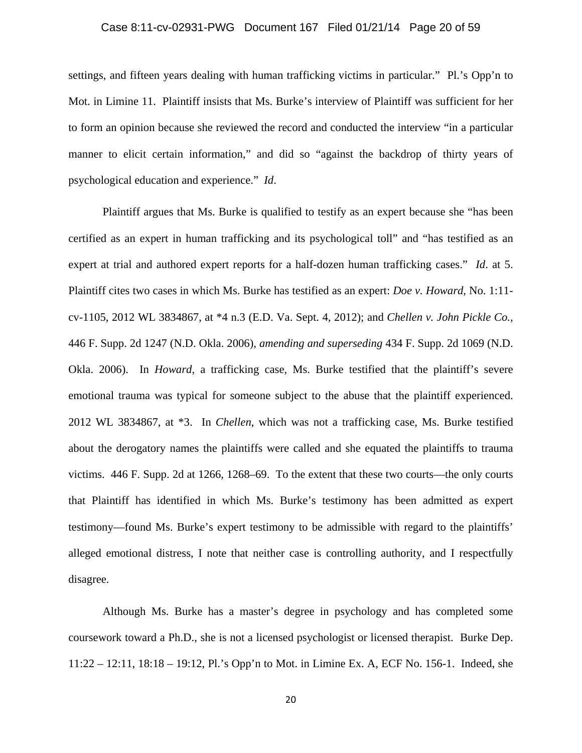#### Case 8:11-cv-02931-PWG Document 167 Filed 01/21/14 Page 20 of 59

settings, and fifteen years dealing with human trafficking victims in particular." Pl.'s Opp'n to Mot. in Limine 11. Plaintiff insists that Ms. Burke's interview of Plaintiff was sufficient for her to form an opinion because she reviewed the record and conducted the interview "in a particular manner to elicit certain information," and did so "against the backdrop of thirty years of psychological education and experience." *Id*.

Plaintiff argues that Ms. Burke is qualified to testify as an expert because she "has been certified as an expert in human trafficking and its psychological toll" and "has testified as an expert at trial and authored expert reports for a half-dozen human trafficking cases." *Id*. at 5. Plaintiff cites two cases in which Ms. Burke has testified as an expert: *Doe v. Howard*, No. 1:11 cv-1105, 2012 WL 3834867, at \*4 n.3 (E.D. Va. Sept. 4, 2012); and *Chellen v. John Pickle Co.*, 446 F. Supp. 2d 1247 (N.D. Okla. 2006), *amending and superseding* 434 F. Supp. 2d 1069 (N.D. Okla. 2006). In *Howard*, a trafficking case, Ms. Burke testified that the plaintiff's severe emotional trauma was typical for someone subject to the abuse that the plaintiff experienced. 2012 WL 3834867, at \*3. In *Chellen*, which was not a trafficking case, Ms. Burke testified about the derogatory names the plaintiffs were called and she equated the plaintiffs to trauma victims. 446 F. Supp. 2d at 1266, 1268–69. To the extent that these two courts—the only courts that Plaintiff has identified in which Ms. Burke's testimony has been admitted as expert testimony—found Ms. Burke's expert testimony to be admissible with regard to the plaintiffs' alleged emotional distress, I note that neither case is controlling authority, and I respectfully disagree.

Although Ms. Burke has a master's degree in psychology and has completed some coursework toward a Ph.D., she is not a licensed psychologist or licensed therapist. Burke Dep. 11:22 – 12:11, 18:18 – 19:12, Pl.'s Opp'n to Mot. in Limine Ex. A, ECF No. 156-1. Indeed, she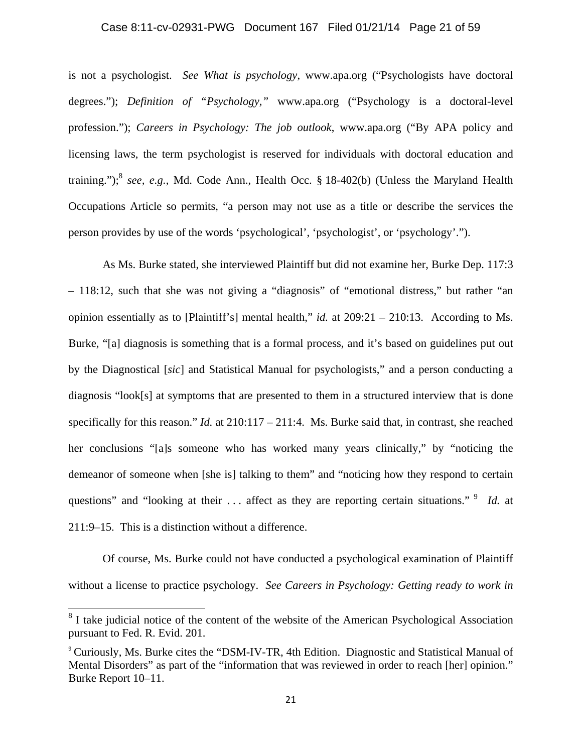# Case 8:11-cv-02931-PWG Document 167 Filed 01/21/14 Page 21 of 59

is not a psychologist. *See What is psychology*, www.apa.org ("Psychologists have doctoral degrees."); *Definition of "Psychology,"* www.apa.org ("Psychology is a doctoral-level profession."); *Careers in Psychology: The job outlook*, www.apa.org ("By APA policy and licensing laws, the term psychologist is reserved for individuals with doctoral education and training.");<sup>8</sup> see, e.g., Md. Code Ann., Health Occ. § 18-402(b) (Unless the Maryland Health Occupations Article so permits, "a person may not use as a title or describe the services the person provides by use of the words 'psychological', 'psychologist', or 'psychology'.").

As Ms. Burke stated, she interviewed Plaintiff but did not examine her, Burke Dep. 117:3 – 118:12, such that she was not giving a "diagnosis" of "emotional distress," but rather "an opinion essentially as to [Plaintiff's] mental health," *id.* at 209:21 – 210:13. According to Ms. Burke, "[a] diagnosis is something that is a formal process, and it's based on guidelines put out by the Diagnostical [*sic*] and Statistical Manual for psychologists," and a person conducting a diagnosis "look[s] at symptoms that are presented to them in a structured interview that is done specifically for this reason." *Id.* at 210:117 – 211:4. Ms. Burke said that, in contrast, she reached her conclusions "[a]s someone who has worked many years clinically," by "noticing the demeanor of someone when [she is] talking to them" and "noticing how they respond to certain questions" and "looking at their ... affect as they are reporting certain situations." <sup>9</sup> *Id.* at 211:9–15. This is a distinction without a difference.

Of course, Ms. Burke could not have conducted a psychological examination of Plaintiff without a license to practice psychology. *See Careers in Psychology: Getting ready to work in* 

<sup>&</sup>lt;sup>8</sup> I take judicial notice of the content of the website of the American Psychological Association pursuant to Fed. R. Evid. 201.

<sup>&</sup>lt;sup>9</sup> Curiously, Ms. Burke cites the "DSM-IV-TR, 4th Edition. Diagnostic and Statistical Manual of Mental Disorders" as part of the "information that was reviewed in order to reach [her] opinion." Burke Report 10–11.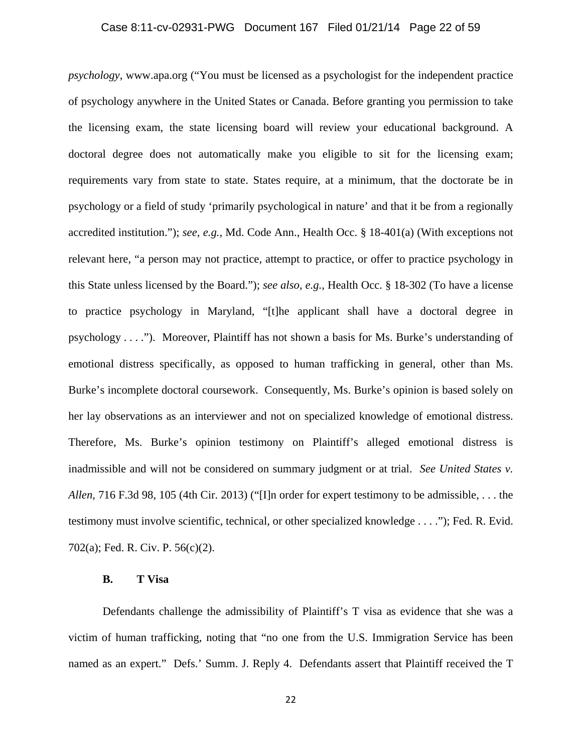# Case 8:11-cv-02931-PWG Document 167 Filed 01/21/14 Page 22 of 59

*psychology*, www.apa.org ("You must be licensed as a psychologist for the independent practice of psychology anywhere in the United States or Canada. Before granting you permission to take the licensing exam, the state licensing board will review your educational background. A doctoral degree does not automatically make you eligible to sit for the licensing exam; requirements vary from state to state. States require, at a minimum, that the doctorate be in psychology or a field of study 'primarily psychological in nature' and that it be from a regionally accredited institution."); *see, e.g.*, Md. Code Ann., Health Occ. § 18-401(a) (With exceptions not relevant here, "a person may not practice, attempt to practice, or offer to practice psychology in this State unless licensed by the Board."); *see also, e.g.*, Health Occ. § 18-302 (To have a license to practice psychology in Maryland, "[t]he applicant shall have a doctoral degree in psychology . . . ."). Moreover, Plaintiff has not shown a basis for Ms. Burke's understanding of emotional distress specifically, as opposed to human trafficking in general, other than Ms. Burke's incomplete doctoral coursework. Consequently, Ms. Burke's opinion is based solely on her lay observations as an interviewer and not on specialized knowledge of emotional distress. Therefore, Ms. Burke's opinion testimony on Plaintiff's alleged emotional distress is inadmissible and will not be considered on summary judgment or at trial. *See United States v. Allen*, 716 F.3d 98, 105 (4th Cir. 2013) ("[I]n order for expert testimony to be admissible, . . . the testimony must involve scientific, technical, or other specialized knowledge . . . ."); Fed. R. Evid. 702(a); Fed. R. Civ. P. 56(c)(2).

#### **B. T Visa**

Defendants challenge the admissibility of Plaintiff's T visa as evidence that she was a victim of human trafficking, noting that "no one from the U.S. Immigration Service has been named as an expert." Defs.' Summ. J. Reply 4. Defendants assert that Plaintiff received the T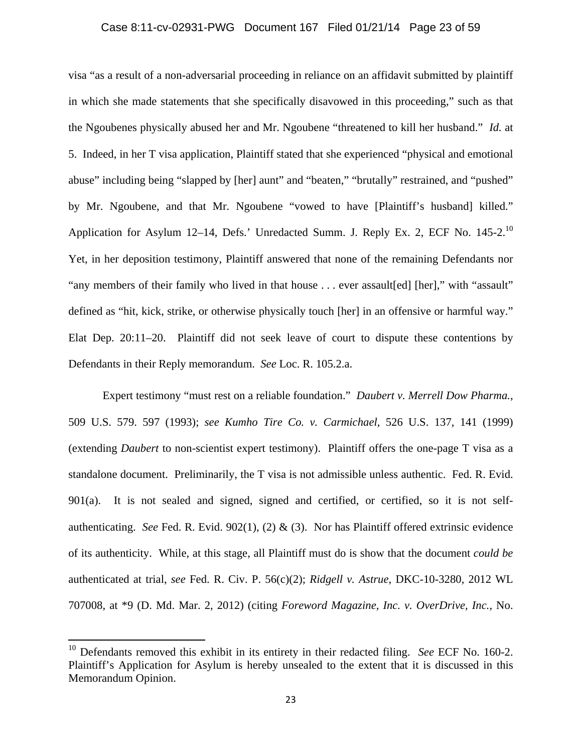# Case 8:11-cv-02931-PWG Document 167 Filed 01/21/14 Page 23 of 59

visa "as a result of a non-adversarial proceeding in reliance on an affidavit submitted by plaintiff in which she made statements that she specifically disavowed in this proceeding," such as that the Ngoubenes physically abused her and Mr. Ngoubene "threatened to kill her husband." *Id.* at 5. Indeed, in her T visa application, Plaintiff stated that she experienced "physical and emotional abuse" including being "slapped by [her] aunt" and "beaten," "brutally" restrained, and "pushed" by Mr. Ngoubene, and that Mr. Ngoubene "vowed to have [Plaintiff's husband] killed." Application for Asylum 12–14, Defs.' Unredacted Summ. J. Reply Ex. 2, ECF No. 145-2.<sup>10</sup> Yet, in her deposition testimony, Plaintiff answered that none of the remaining Defendants nor "any members of their family who lived in that house . . . ever assault[ed] [her]," with "assault" defined as "hit, kick, strike, or otherwise physically touch [her] in an offensive or harmful way." Elat Dep. 20:11–20. Plaintiff did not seek leave of court to dispute these contentions by Defendants in their Reply memorandum. *See* Loc. R. 105.2.a.

Expert testimony "must rest on a reliable foundation." *Daubert v. Merrell Dow Pharma.*, 509 U.S. 579. 597 (1993); *see Kumho Tire Co. v. Carmichael*, 526 U.S. 137, 141 (1999) (extending *Daubert* to non-scientist expert testimony). Plaintiff offers the one-page T visa as a standalone document. Preliminarily, the T visa is not admissible unless authentic. Fed. R. Evid. 901(a). It is not sealed and signed, signed and certified, or certified, so it is not selfauthenticating. *See* Fed. R. Evid. 902(1), (2) & (3). Nor has Plaintiff offered extrinsic evidence of its authenticity. While, at this stage, all Plaintiff must do is show that the document *could be* authenticated at trial, *see* Fed. R. Civ. P. 56(c)(2); *Ridgell v. Astrue*, DKC-10-3280, 2012 WL 707008, at \*9 (D. Md. Mar. 2, 2012) (citing *Foreword Magazine, Inc. v. OverDrive, Inc.*, No.

<sup>&</sup>lt;sup>10</sup> Defendants removed this exhibit in its entirety in their redacted filing. *See* ECF No. 160-2. Plaintiff's Application for Asylum is hereby unsealed to the extent that it is discussed in this Memorandum Opinion.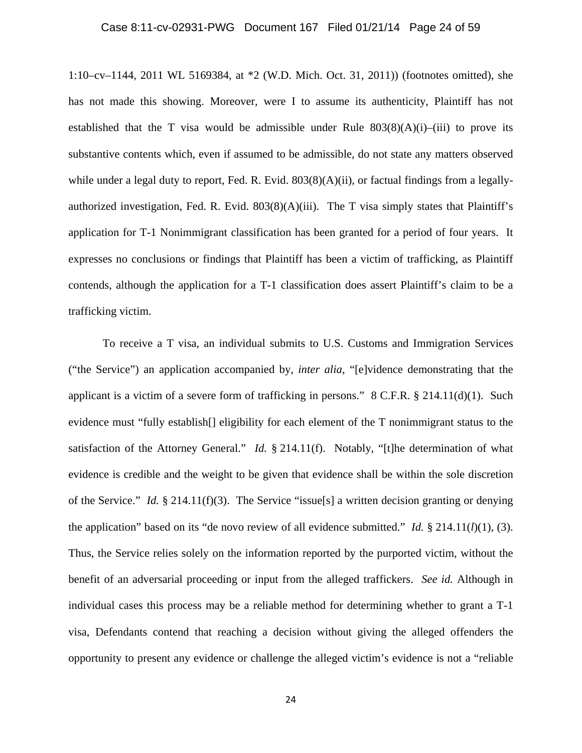#### Case 8:11-cv-02931-PWG Document 167 Filed 01/21/14 Page 24 of 59

1:10–cv–1144, 2011 WL 5169384, at \*2 (W.D. Mich. Oct. 31, 2011)) (footnotes omitted), she has not made this showing. Moreover, were I to assume its authenticity, Plaintiff has not established that the T visa would be admissible under Rule  $803(8)(A)(i)$ –(iii) to prove its substantive contents which, even if assumed to be admissible, do not state any matters observed while under a legal duty to report, Fed. R. Evid.  $803(8)(A)(ii)$ , or factual findings from a legallyauthorized investigation, Fed. R. Evid.  $803(8)(A)(iii)$ . The T visa simply states that Plaintiff's application for T-1 Nonimmigrant classification has been granted for a period of four years. It expresses no conclusions or findings that Plaintiff has been a victim of trafficking, as Plaintiff contends, although the application for a T-1 classification does assert Plaintiff's claim to be a trafficking victim.

To receive a T visa, an individual submits to U.S. Customs and Immigration Services ("the Service") an application accompanied by, *inter alia*, "[e]vidence demonstrating that the applicant is a victim of a severe form of trafficking in persons." 8 C.F.R. § 214.11(d)(1). Such evidence must "fully establish[] eligibility for each element of the T nonimmigrant status to the satisfaction of the Attorney General." *Id.* § 214.11(f). Notably, "[t]he determination of what evidence is credible and the weight to be given that evidence shall be within the sole discretion of the Service." *Id.* § 214.11(f)(3). The Service "issue[s] a written decision granting or denying the application" based on its "de novo review of all evidence submitted." *Id.* § 214.11(*l*)(1), (3). Thus, the Service relies solely on the information reported by the purported victim, without the benefit of an adversarial proceeding or input from the alleged traffickers. *See id.* Although in individual cases this process may be a reliable method for determining whether to grant a T-1 visa, Defendants contend that reaching a decision without giving the alleged offenders the opportunity to present any evidence or challenge the alleged victim's evidence is not a "reliable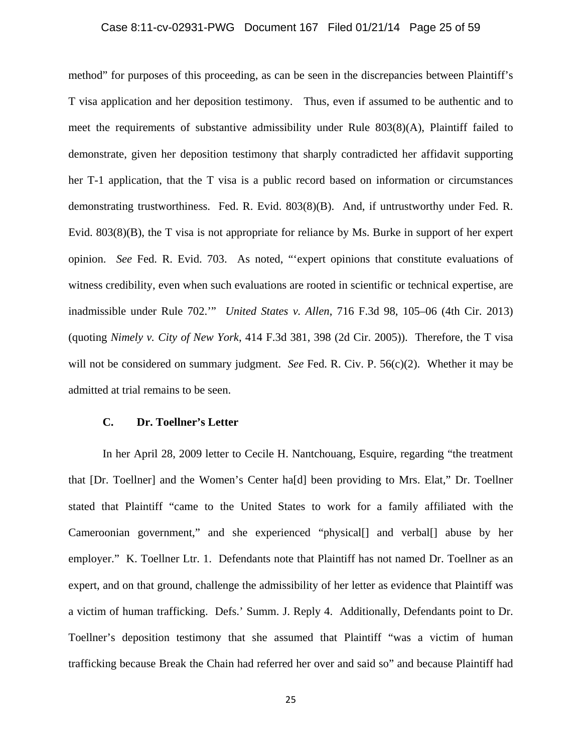### Case 8:11-cv-02931-PWG Document 167 Filed 01/21/14 Page 25 of 59

method" for purposes of this proceeding, as can be seen in the discrepancies between Plaintiff's T visa application and her deposition testimony. Thus, even if assumed to be authentic and to meet the requirements of substantive admissibility under Rule 803(8)(A), Plaintiff failed to demonstrate, given her deposition testimony that sharply contradicted her affidavit supporting her T-1 application, that the T visa is a public record based on information or circumstances demonstrating trustworthiness. Fed. R. Evid. 803(8)(B). And, if untrustworthy under Fed. R. Evid. 803(8)(B), the T visa is not appropriate for reliance by Ms. Burke in support of her expert opinion. *See* Fed. R. Evid. 703. As noted, "'expert opinions that constitute evaluations of witness credibility, even when such evaluations are rooted in scientific or technical expertise, are inadmissible under Rule 702.'" *United States v. Allen*, 716 F.3d 98, 105–06 (4th Cir. 2013) (quoting *Nimely v. City of New York*, 414 F.3d 381, 398 (2d Cir. 2005)). Therefore, the T visa will not be considered on summary judgment. *See* Fed. R. Civ. P.  $56(c)(2)$ . Whether it may be admitted at trial remains to be seen.

#### **C. Dr. Toellner's Letter**

In her April 28, 2009 letter to Cecile H. Nantchouang, Esquire, regarding "the treatment that [Dr. Toellner] and the Women's Center ha[d] been providing to Mrs. Elat," Dr. Toellner stated that Plaintiff "came to the United States to work for a family affiliated with the Cameroonian government," and she experienced "physical[] and verbal[] abuse by her employer." K. Toellner Ltr. 1. Defendants note that Plaintiff has not named Dr. Toellner as an expert, and on that ground, challenge the admissibility of her letter as evidence that Plaintiff was a victim of human trafficking. Defs.' Summ. J. Reply 4. Additionally, Defendants point to Dr. Toellner's deposition testimony that she assumed that Plaintiff "was a victim of human trafficking because Break the Chain had referred her over and said so" and because Plaintiff had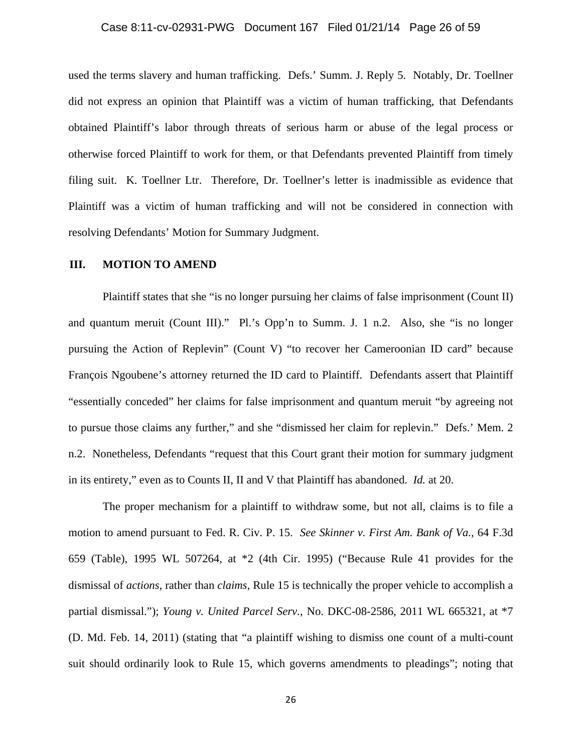#### Case 8:11-cv-02931-PWG Document 167 Filed 01/21/14 Page 26 of 59

used the terms slavery and human trafficking. Defs.' Summ. J. Reply 5. Notably, Dr. Toellner did not express an opinion that Plaintiff was a victim of human trafficking, that Defendants obtained Plaintiff's labor through threats of serious harm or abuse of the legal process or otherwise forced Plaintiff to work for them, or that Defendants prevented Plaintiff from timely filing suit. K. Toellner Ltr. Therefore, Dr. Toellner's letter is inadmissible as evidence that Plaintiff was a victim of human trafficking and will not be considered in connection with resolving Defendants' Motion for Summary Judgment.

#### **III. MOTION TO AMEND**

Plaintiff states that she "is no longer pursuing her claims of false imprisonment (Count II) and quantum meruit (Count III)." Pl.'s Opp'n to Summ. J. 1 n.2. Also, she "is no longer pursuing the Action of Replevin" (Count V) "to recover her Cameroonian ID card" because François Ngoubene's attorney returned the ID card to Plaintiff. Defendants assert that Plaintiff "essentially conceded" her claims for false imprisonment and quantum meruit "by agreeing not to pursue those claims any further," and she "dismissed her claim for replevin." Defs.' Mem. 2 n.2. Nonetheless, Defendants "request that this Court grant their motion for summary judgment in its entirety," even as to Counts II, II and V that Plaintiff has abandoned. *Id.* at 20.

The proper mechanism for a plaintiff to withdraw some, but not all, claims is to file a motion to amend pursuant to Fed. R. Civ. P. 15. *See Skinner v. First Am. Bank of Va.*, 64 F.3d 659 (Table), 1995 WL 507264, at \*2 (4th Cir. 1995) ("Because Rule 41 provides for the dismissal of *actions*, rather than *claims*, Rule 15 is technically the proper vehicle to accomplish a partial dismissal."); *Young v. United Parcel Serv.*, No. DKC-08-2586, 2011 WL 665321, at \*7 (D. Md. Feb. 14, 2011) (stating that "a plaintiff wishing to dismiss one count of a multi-count suit should ordinarily look to Rule 15, which governs amendments to pleadings"; noting that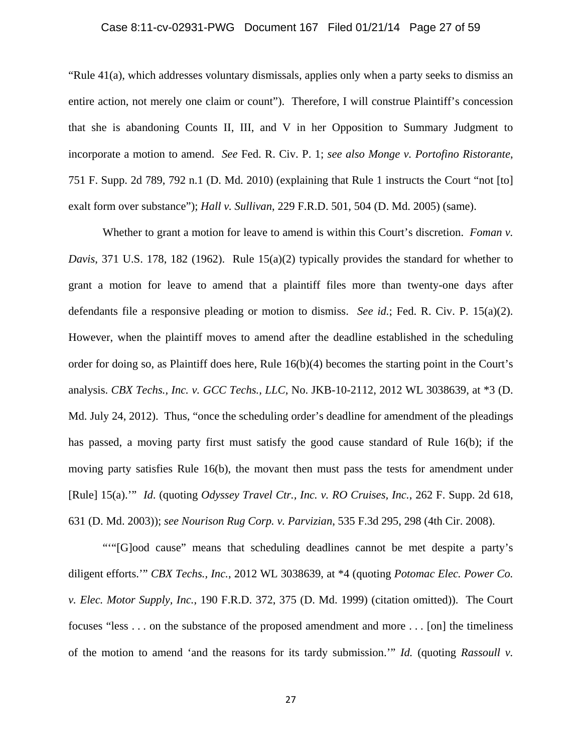## Case 8:11-cv-02931-PWG Document 167 Filed 01/21/14 Page 27 of 59

"Rule 41(a), which addresses voluntary dismissals, applies only when a party seeks to dismiss an entire action, not merely one claim or count"). Therefore, I will construe Plaintiff's concession that she is abandoning Counts II, III, and V in her Opposition to Summary Judgment to incorporate a motion to amend. *See* Fed. R. Civ. P. 1; *see also Monge v. Portofino Ristorante*, 751 F. Supp. 2d 789, 792 n.1 (D. Md. 2010) (explaining that Rule 1 instructs the Court "not [to] exalt form over substance"); *Hall v. Sullivan*, 229 F.R.D. 501, 504 (D. Md. 2005) (same).

Whether to grant a motion for leave to amend is within this Court's discretion. *Foman v. Davis*, 371 U.S. 178, 182 (1962). Rule 15(a)(2) typically provides the standard for whether to grant a motion for leave to amend that a plaintiff files more than twenty-one days after defendants file a responsive pleading or motion to dismiss. *See id.*; Fed. R. Civ. P. 15(a)(2). However, when the plaintiff moves to amend after the deadline established in the scheduling order for doing so, as Plaintiff does here, Rule 16(b)(4) becomes the starting point in the Court's analysis. *CBX Techs., Inc. v. GCC Techs., LLC*, No. JKB-10-2112, 2012 WL 3038639, at \*3 (D. Md. July 24, 2012). Thus, "once the scheduling order's deadline for amendment of the pleadings has passed, a moving party first must satisfy the good cause standard of Rule 16(b); if the moving party satisfies Rule 16(b), the movant then must pass the tests for amendment under [Rule] 15(a).'" *Id*. (quoting *Odyssey Travel Ctr., Inc. v. RO Cruises, Inc.*, 262 F. Supp. 2d 618, 631 (D. Md. 2003)); *see Nourison Rug Corp. v. Parvizian*, 535 F.3d 295, 298 (4th Cir. 2008).

""[G]ood cause" means that scheduling deadlines cannot be met despite a party's diligent efforts.'" *CBX Techs., Inc.*, 2012 WL 3038639, at \*4 (quoting *Potomac Elec. Power Co. v. Elec. Motor Supply, Inc.*, 190 F.R.D. 372, 375 (D. Md. 1999) (citation omitted)). The Court focuses "less . . . on the substance of the proposed amendment and more . . . [on] the timeliness of the motion to amend 'and the reasons for its tardy submission.'" *Id.* (quoting *Rassoull v.*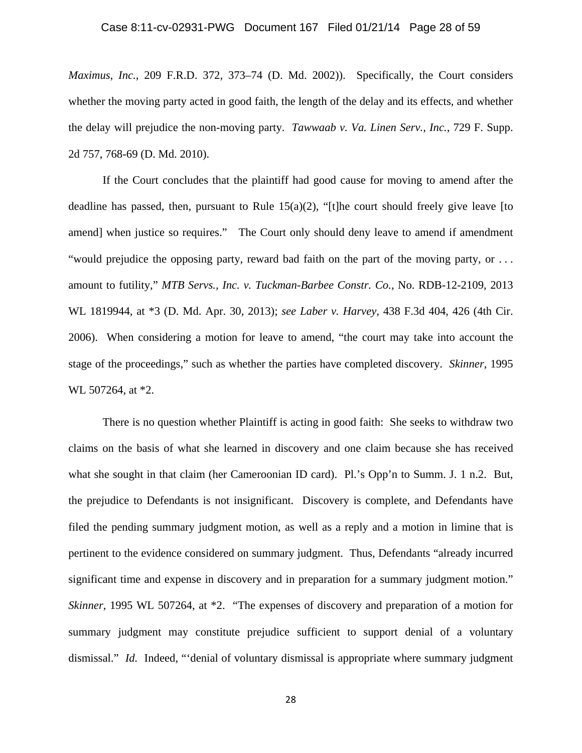#### Case 8:11-cv-02931-PWG Document 167 Filed 01/21/14 Page 28 of 59

*Maximus, Inc.*, 209 F.R.D. 372, 373–74 (D. Md. 2002)). Specifically, the Court considers whether the moving party acted in good faith, the length of the delay and its effects, and whether the delay will prejudice the non-moving party. *Tawwaab v. Va. Linen Serv., Inc.*, 729 F. Supp. 2d 757, 768-69 (D. Md. 2010).

If the Court concludes that the plaintiff had good cause for moving to amend after the deadline has passed, then, pursuant to Rule  $15(a)(2)$ , "[t]he court should freely give leave [to amend] when justice so requires." The Court only should deny leave to amend if amendment "would prejudice the opposing party, reward bad faith on the part of the moving party, or . . . amount to futility," *MTB Servs., Inc. v. Tuckman-Barbee Constr. Co.*, No. RDB-12-2109, 2013 WL 1819944, at \*3 (D. Md. Apr. 30, 2013); *see Laber v. Harvey*, 438 F.3d 404, 426 (4th Cir. 2006). When considering a motion for leave to amend, "the court may take into account the stage of the proceedings," such as whether the parties have completed discovery. *Skinner*, 1995 WL 507264, at \*2.

There is no question whether Plaintiff is acting in good faith: She seeks to withdraw two claims on the basis of what she learned in discovery and one claim because she has received what she sought in that claim (her Cameroonian ID card). Pl.'s Opp'n to Summ. J. 1 n.2. But, the prejudice to Defendants is not insignificant. Discovery is complete, and Defendants have filed the pending summary judgment motion, as well as a reply and a motion in limine that is pertinent to the evidence considered on summary judgment. Thus, Defendants "already incurred significant time and expense in discovery and in preparation for a summary judgment motion." *Skinner*, 1995 WL 507264, at \*2. "The expenses of discovery and preparation of a motion for summary judgment may constitute prejudice sufficient to support denial of a voluntary dismissal." *Id.* Indeed, "'denial of voluntary dismissal is appropriate where summary judgment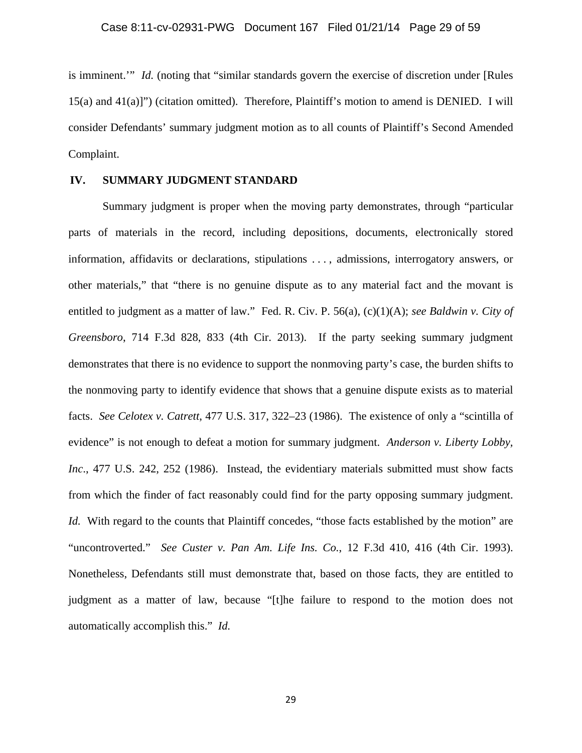is imminent.'" *Id.* (noting that "similar standards govern the exercise of discretion under [Rules 15(a) and 41(a)]") (citation omitted). Therefore, Plaintiff's motion to amend is DENIED. I will consider Defendants' summary judgment motion as to all counts of Plaintiff's Second Amended Complaint.

#### **IV. SUMMARY JUDGMENT STANDARD**

Summary judgment is proper when the moving party demonstrates, through "particular parts of materials in the record, including depositions, documents, electronically stored information, affidavits or declarations, stipulations . . . , admissions, interrogatory answers, or other materials," that "there is no genuine dispute as to any material fact and the movant is entitled to judgment as a matter of law." Fed. R. Civ. P. 56(a), (c)(1)(A); *see Baldwin v. City of Greensboro*, 714 F.3d 828, 833 (4th Cir. 2013). If the party seeking summary judgment demonstrates that there is no evidence to support the nonmoving party's case, the burden shifts to the nonmoving party to identify evidence that shows that a genuine dispute exists as to material facts. *See Celotex v. Catrett*, 477 U.S. 317, 322–23 (1986). The existence of only a "scintilla of evidence" is not enough to defeat a motion for summary judgment. *Anderson v. Liberty Lobby, Inc*., 477 U.S. 242, 252 (1986). Instead, the evidentiary materials submitted must show facts from which the finder of fact reasonably could find for the party opposing summary judgment. *Id.* With regard to the counts that Plaintiff concedes, "those facts established by the motion" are "uncontroverted." *See Custer v. Pan Am. Life Ins. Co.*, 12 F.3d 410, 416 (4th Cir. 1993). Nonetheless, Defendants still must demonstrate that, based on those facts, they are entitled to judgment as a matter of law, because "[t]he failure to respond to the motion does not automatically accomplish this." *Id.*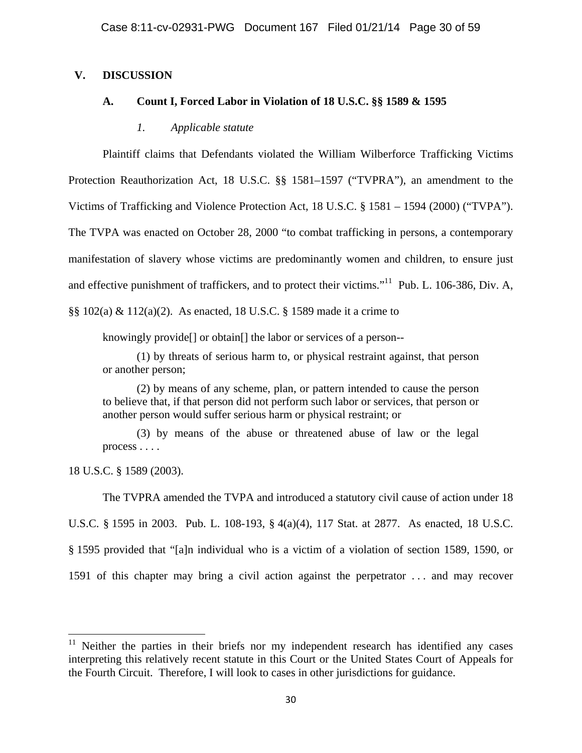# **V. DISCUSSION**

# **A. Count I, Forced Labor in Violation of 18 U.S.C. §§ 1589 & 1595**

#### *1. Applicable statute*

Plaintiff claims that Defendants violated the William Wilberforce Trafficking Victims Protection Reauthorization Act, 18 U.S.C. §§ 1581–1597 ("TVPRA"), an amendment to the Victims of Trafficking and Violence Protection Act, 18 U.S.C. § 1581 – 1594 (2000) ("TVPA"). The TVPA was enacted on October 28, 2000 "to combat trafficking in persons, a contemporary manifestation of slavery whose victims are predominantly women and children, to ensure just and effective punishment of traffickers, and to protect their victims."11 Pub. L. 106-386, Div. A, §§ 102(a) & 112(a)(2). As enacted, 18 U.S.C. § 1589 made it a crime to

knowingly provide[] or obtain[] the labor or services of a person--

(1) by threats of serious harm to, or physical restraint against, that person or another person;

(2) by means of any scheme, plan, or pattern intended to cause the person to believe that, if that person did not perform such labor or services, that person or another person would suffer serious harm or physical restraint; or

(3) by means of the abuse or threatened abuse of law or the legal process . . . .

18 U.S.C. § 1589 (2003).

The TVPRA amended the TVPA and introduced a statutory civil cause of action under 18 U.S.C. § 1595 in 2003. Pub. L. 108-193, § 4(a)(4), 117 Stat. at 2877. As enacted, 18 U.S.C. § 1595 provided that "[a]n individual who is a victim of a violation of section 1589, 1590, or 1591 of this chapter may bring a civil action against the perpetrator . . . and may recover

 $11$  Neither the parties in their briefs nor my independent research has identified any cases interpreting this relatively recent statute in this Court or the United States Court of Appeals for the Fourth Circuit. Therefore, I will look to cases in other jurisdictions for guidance.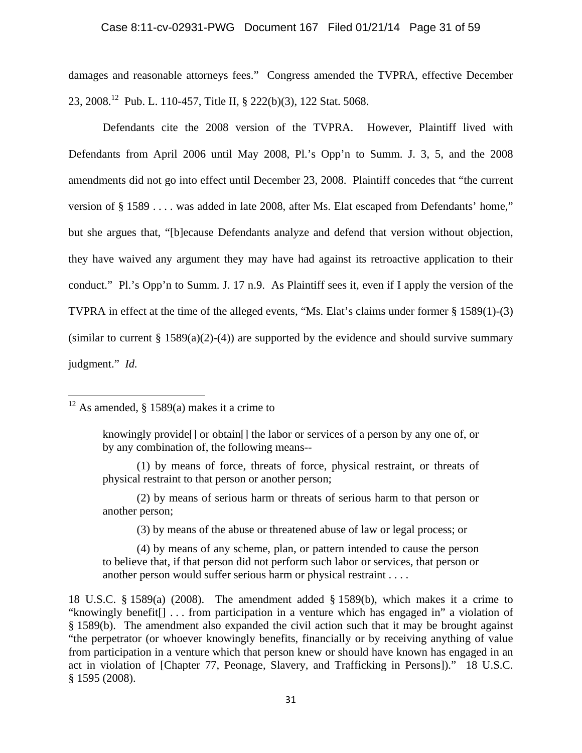### Case 8:11-cv-02931-PWG Document 167 Filed 01/21/14 Page 31 of 59

damages and reasonable attorneys fees." Congress amended the TVPRA, effective December 23, 2008.12 Pub. L. 110-457, Title II, § 222(b)(3), 122 Stat. 5068.

Defendants cite the 2008 version of the TVPRA. However, Plaintiff lived with Defendants from April 2006 until May 2008, Pl.'s Opp'n to Summ. J. 3, 5, and the 2008 amendments did not go into effect until December 23, 2008. Plaintiff concedes that "the current version of § 1589 . . . . was added in late 2008, after Ms. Elat escaped from Defendants' home," but she argues that, "[b]ecause Defendants analyze and defend that version without objection, they have waived any argument they may have had against its retroactive application to their conduct." Pl.'s Opp'n to Summ. J. 17 n.9. As Plaintiff sees it, even if I apply the version of the TVPRA in effect at the time of the alleged events, "Ms. Elat's claims under former § 1589(1)-(3) (similar to current  $\S 1589(a)(2)-(4)$ ) are supported by the evidence and should survive summary judgment." *Id.* 

 $12$  As amended, § 1589(a) makes it a crime to

(1) by means of force, threats of force, physical restraint, or threats of physical restraint to that person or another person;

(2) by means of serious harm or threats of serious harm to that person or another person;

(3) by means of the abuse or threatened abuse of law or legal process; or

(4) by means of any scheme, plan, or pattern intended to cause the person to believe that, if that person did not perform such labor or services, that person or another person would suffer serious harm or physical restraint . . . .

knowingly provide[] or obtain[] the labor or services of a person by any one of, or by any combination of, the following means--

<sup>18</sup> U.S.C. § 1589(a) (2008). The amendment added § 1589(b), which makes it a crime to "knowingly benefit[] . . . from participation in a venture which has engaged in" a violation of § 1589(b). The amendment also expanded the civil action such that it may be brought against "the perpetrator (or whoever knowingly benefits, financially or by receiving anything of value from participation in a venture which that person knew or should have known has engaged in an act in violation of [Chapter 77, Peonage, Slavery, and Trafficking in Persons])." 18 U.S.C. § 1595 (2008).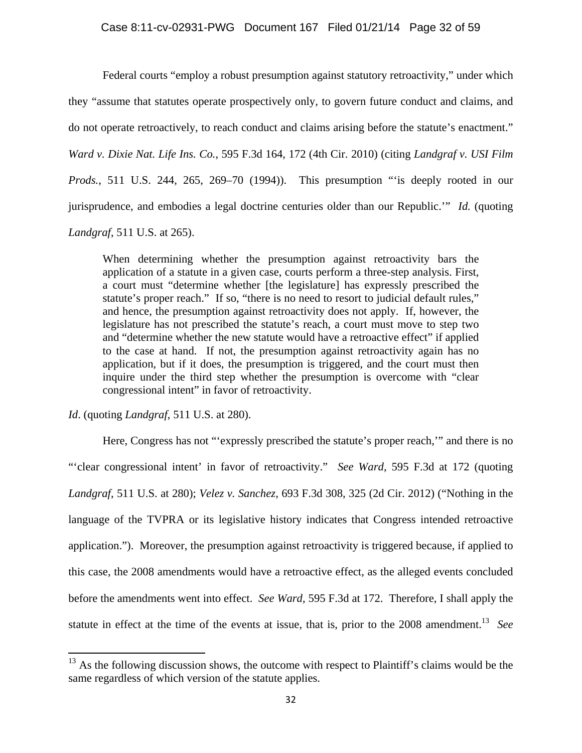Federal courts "employ a robust presumption against statutory retroactivity," under which they "assume that statutes operate prospectively only, to govern future conduct and claims, and do not operate retroactively, to reach conduct and claims arising before the statute's enactment." *Ward v. Dixie Nat. Life Ins. Co.*, 595 F.3d 164, 172 (4th Cir. 2010) (citing *Landgraf v. USI Film Prods.*, 511 U.S. 244, 265, 269–70 (1994)). This presumption "is deeply rooted in our jurisprudence, and embodies a legal doctrine centuries older than our Republic.'" *Id.* (quoting

*Landgraf*, 511 U.S. at 265).

When determining whether the presumption against retroactivity bars the application of a statute in a given case, courts perform a three-step analysis. First, a court must "determine whether [the legislature] has expressly prescribed the statute's proper reach." If so, "there is no need to resort to judicial default rules," and hence, the presumption against retroactivity does not apply. If, however, the legislature has not prescribed the statute's reach, a court must move to step two and "determine whether the new statute would have a retroactive effect" if applied to the case at hand. If not, the presumption against retroactivity again has no application, but if it does, the presumption is triggered, and the court must then inquire under the third step whether the presumption is overcome with "clear congressional intent" in favor of retroactivity.

*Id*. (quoting *Landgraf*, 511 U.S. at 280).

Here, Congress has not "'expressly prescribed the statute's proper reach,'" and there is no "'clear congressional intent' in favor of retroactivity." *See Ward*, 595 F.3d at 172 (quoting *Landgraf*, 511 U.S. at 280); *Velez v. Sanchez*, 693 F.3d 308, 325 (2d Cir. 2012) ("Nothing in the language of the TVPRA or its legislative history indicates that Congress intended retroactive application."). Moreover, the presumption against retroactivity is triggered because, if applied to this case, the 2008 amendments would have a retroactive effect, as the alleged events concluded before the amendments went into effect. *See Ward*, 595 F.3d at 172. Therefore, I shall apply the statute in effect at the time of the events at issue, that is, prior to the 2008 amendment.<sup>13</sup> See

 $13$  As the following discussion shows, the outcome with respect to Plaintiff's claims would be the same regardless of which version of the statute applies.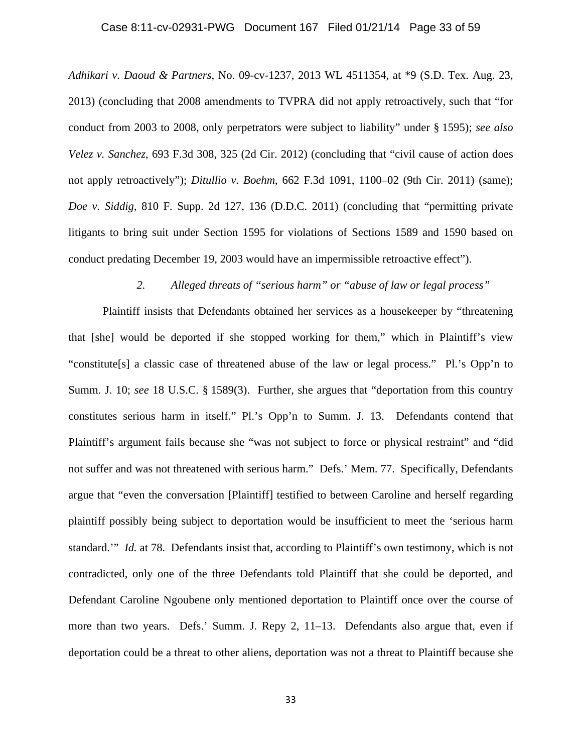#### Case 8:11-cv-02931-PWG Document 167 Filed 01/21/14 Page 33 of 59

*Adhikari v. Daoud & Partners*, No. 09-cv-1237, 2013 WL 4511354, at \*9 (S.D. Tex. Aug. 23, 2013) (concluding that 2008 amendments to TVPRA did not apply retroactively, such that "for conduct from 2003 to 2008, only perpetrators were subject to liability" under § 1595); *see also Velez v. Sanchez*, 693 F.3d 308, 325 (2d Cir. 2012) (concluding that "civil cause of action does not apply retroactively"); *Ditullio v. Boehm*, 662 F.3d 1091, 1100–02 (9th Cir. 2011) (same); *Doe v. Siddig*, 810 F. Supp. 2d 127, 136 (D.D.C. 2011) (concluding that "permitting private litigants to bring suit under Section 1595 for violations of Sections 1589 and 1590 based on conduct predating December 19, 2003 would have an impermissible retroactive effect").

#### *2. Alleged threats of "serious harm" or "abuse of law or legal process"*

Plaintiff insists that Defendants obtained her services as a housekeeper by "threatening that [she] would be deported if she stopped working for them," which in Plaintiff's view "constitute[s] a classic case of threatened abuse of the law or legal process." Pl.'s Opp'n to Summ. J. 10; *see* 18 U.S.C. § 1589(3). Further, she argues that "deportation from this country constitutes serious harm in itself." Pl.'s Opp'n to Summ. J. 13. Defendants contend that Plaintiff's argument fails because she "was not subject to force or physical restraint" and "did not suffer and was not threatened with serious harm." Defs.' Mem. 77. Specifically, Defendants argue that "even the conversation [Plaintiff] testified to between Caroline and herself regarding plaintiff possibly being subject to deportation would be insufficient to meet the 'serious harm standard.'" *Id.* at 78. Defendants insist that, according to Plaintiff's own testimony, which is not contradicted, only one of the three Defendants told Plaintiff that she could be deported, and Defendant Caroline Ngoubene only mentioned deportation to Plaintiff once over the course of more than two years. Defs.' Summ. J. Repy 2, 11–13. Defendants also argue that, even if deportation could be a threat to other aliens, deportation was not a threat to Plaintiff because she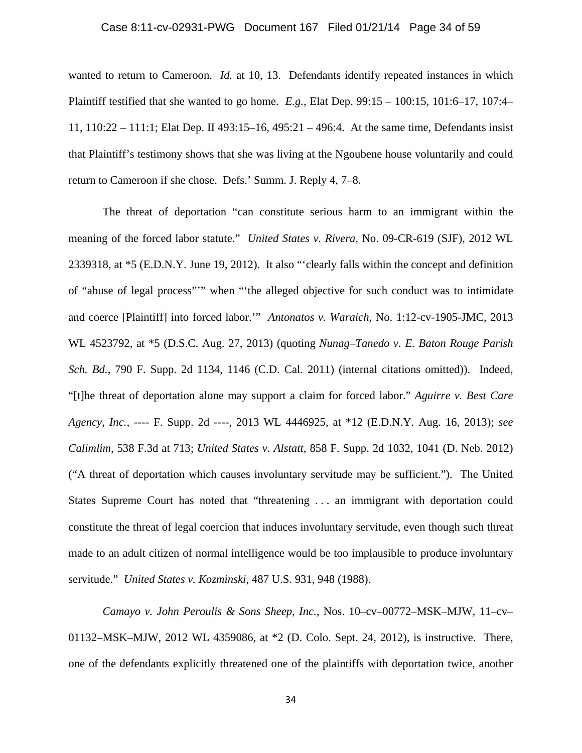### Case 8:11-cv-02931-PWG Document 167 Filed 01/21/14 Page 34 of 59

wanted to return to Cameroon. *Id.* at 10, 13. Defendants identify repeated instances in which Plaintiff testified that she wanted to go home. *E.g.*, Elat Dep. 99:15 – 100:15, 101:6–17, 107:4– 11, 110:22 – 111:1; Elat Dep. II 493:15–16, 495:21 – 496:4. At the same time, Defendants insist that Plaintiff's testimony shows that she was living at the Ngoubene house voluntarily and could return to Cameroon if she chose. Defs.' Summ. J. Reply 4, 7–8.

The threat of deportation "can constitute serious harm to an immigrant within the meaning of the forced labor statute." *United States v. Rivera*, No. 09-CR-619 (SJF), 2012 WL 2339318, at \*5 (E.D.N.Y. June 19, 2012). It also "'clearly falls within the concept and definition of "abuse of legal process"'" when "'the alleged objective for such conduct was to intimidate and coerce [Plaintiff] into forced labor.'" *Antonatos v. Waraich*, No. 1:12-cv-1905-JMC, 2013 WL 4523792, at \*5 (D.S.C. Aug. 27, 2013) (quoting *Nunag–Tanedo v. E. Baton Rouge Parish Sch. Bd.*, 790 F. Supp. 2d 1134, 1146 (C.D. Cal. 2011) (internal citations omitted)). Indeed, "[t]he threat of deportation alone may support a claim for forced labor." *Aguirre v. Best Care Agency, Inc.*, ---- F. Supp. 2d ----, 2013 WL 4446925, at \*12 (E.D.N.Y. Aug. 16, 2013); *see Calimlim*, 538 F.3d at 713; *United States v. Alstatt*, 858 F. Supp. 2d 1032, 1041 (D. Neb. 2012) ("A threat of deportation which causes involuntary servitude may be sufficient."). The United States Supreme Court has noted that "threatening . . . an immigrant with deportation could constitute the threat of legal coercion that induces involuntary servitude, even though such threat made to an adult citizen of normal intelligence would be too implausible to produce involuntary servitude." *United States v. Kozminski*, 487 U.S. 931, 948 (1988).

*Camayo v. John Peroulis & Sons Sheep, Inc.*, Nos. 10–cv–00772–MSK–MJW, 11–cv– 01132–MSK–MJW, 2012 WL 4359086, at \*2 (D. Colo. Sept. 24, 2012), is instructive. There, one of the defendants explicitly threatened one of the plaintiffs with deportation twice, another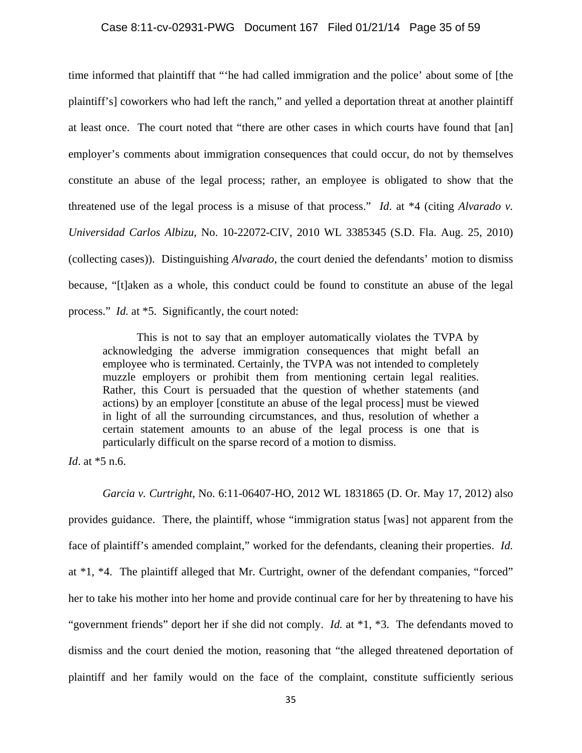# Case 8:11-cv-02931-PWG Document 167 Filed 01/21/14 Page 35 of 59

time informed that plaintiff that "'he had called immigration and the police' about some of [the plaintiff's] coworkers who had left the ranch," and yelled a deportation threat at another plaintiff at least once. The court noted that "there are other cases in which courts have found that [an] employer's comments about immigration consequences that could occur, do not by themselves constitute an abuse of the legal process; rather, an employee is obligated to show that the threatened use of the legal process is a misuse of that process." *Id*. at \*4 (citing *Alvarado v. Universidad Carlos Albizu*, No. 10-22072-CIV, 2010 WL 3385345 (S.D. Fla. Aug. 25, 2010) (collecting cases)). Distinguishing *Alvarado*, the court denied the defendants' motion to dismiss because, "[t]aken as a whole, this conduct could be found to constitute an abuse of the legal process." *Id.* at \*5. Significantly, the court noted:

This is not to say that an employer automatically violates the TVPA by acknowledging the adverse immigration consequences that might befall an employee who is terminated. Certainly, the TVPA was not intended to completely muzzle employers or prohibit them from mentioning certain legal realities. Rather, this Court is persuaded that the question of whether statements (and actions) by an employer [constitute an abuse of the legal process] must be viewed in light of all the surrounding circumstances, and thus, resolution of whether a certain statement amounts to an abuse of the legal process is one that is particularly difficult on the sparse record of a motion to dismiss.

*Id*. at \*5 n.6.

*Garcia v. Curtright*, No. 6:11-06407-HO, 2012 WL 1831865 (D. Or. May 17, 2012) also provides guidance. There, the plaintiff, whose "immigration status [was] not apparent from the face of plaintiff's amended complaint," worked for the defendants, cleaning their properties. *Id.*  at \*1, \*4. The plaintiff alleged that Mr. Curtright, owner of the defendant companies, "forced" her to take his mother into her home and provide continual care for her by threatening to have his "government friends" deport her if she did not comply. *Id.* at \*1, \*3. The defendants moved to dismiss and the court denied the motion, reasoning that "the alleged threatened deportation of plaintiff and her family would on the face of the complaint, constitute sufficiently serious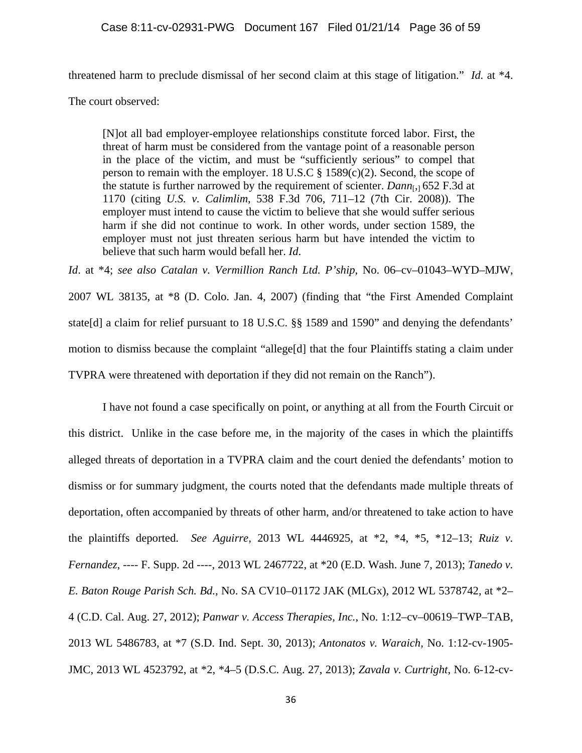threatened harm to preclude dismissal of her second claim at this stage of litigation." *Id.* at \*4.

The court observed:

[N]ot all bad employer-employee relationships constitute forced labor. First, the threat of harm must be considered from the vantage point of a reasonable person in the place of the victim, and must be "sufficiently serious" to compel that person to remain with the employer. 18 U.S.C  $\S$  1589(c)(2). Second, the scope of the statute is further narrowed by the requirement of scienter. *Dann*[,] 652 F.3d at 1170 (citing *U.S. v. Calimlim*, 538 F.3d 706, 711–12 (7th Cir. 2008)). The employer must intend to cause the victim to believe that she would suffer serious harm if she did not continue to work. In other words, under section 1589, the employer must not just threaten serious harm but have intended the victim to believe that such harm would befall her. *Id*.

*Id*. at \*4; *see also Catalan v. Vermillion Ranch Ltd. P'ship*, No. 06–cv–01043–WYD–MJW, 2007 WL 38135, at \*8 (D. Colo. Jan. 4, 2007) (finding that "the First Amended Complaint state[d] a claim for relief pursuant to 18 U.S.C. §§ 1589 and 1590" and denying the defendants' motion to dismiss because the complaint "allege[d] that the four Plaintiffs stating a claim under TVPRA were threatened with deportation if they did not remain on the Ranch").

I have not found a case specifically on point, or anything at all from the Fourth Circuit or this district. Unlike in the case before me, in the majority of the cases in which the plaintiffs alleged threats of deportation in a TVPRA claim and the court denied the defendants' motion to dismiss or for summary judgment, the courts noted that the defendants made multiple threats of deportation, often accompanied by threats of other harm, and/or threatened to take action to have the plaintiffs deported. *See Aguirre*, 2013 WL 4446925, at \*2, \*4, \*5, \*12–13; *Ruiz v. Fernandez*, ---- F. Supp. 2d ----, 2013 WL 2467722, at \*20 (E.D. Wash. June 7, 2013); *Tanedo v. E. Baton Rouge Parish Sch. Bd.*, No. SA CV10–01172 JAK (MLGx), 2012 WL 5378742, at \*2– 4 (C.D. Cal. Aug. 27, 2012); *Panwar v. Access Therapies, Inc.*, No. 1:12–cv–00619–TWP–TAB, 2013 WL 5486783, at \*7 (S.D. Ind. Sept. 30, 2013); *Antonatos v. Waraich*, No. 1:12-cv-1905- JMC, 2013 WL 4523792, at \*2, \*4–5 (D.S.C. Aug. 27, 2013); *Zavala v. Curtright*, No. 6-12-cv-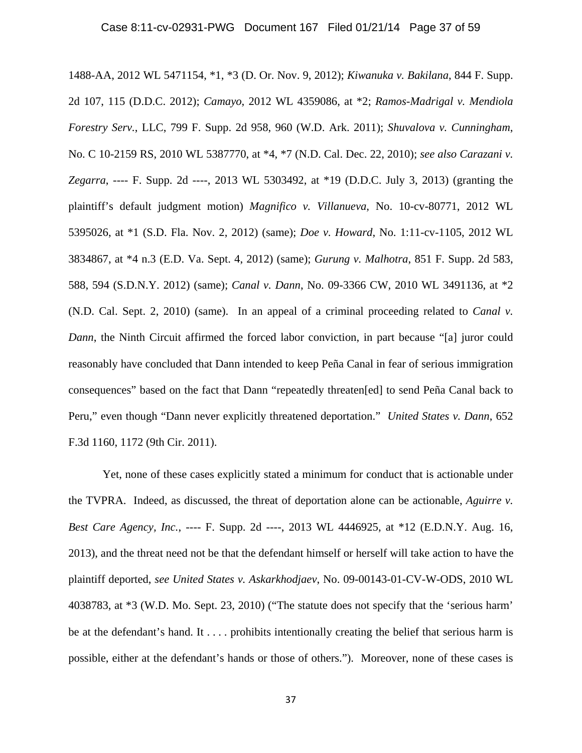1488-AA, 2012 WL 5471154, \*1, \*3 (D. Or. Nov. 9, 2012); *Kiwanuka v. Bakilana*, 844 F. Supp. 2d 107, 115 (D.D.C. 2012); *Camayo*, 2012 WL 4359086, at \*2; *Ramos-Madrigal v. Mendiola Forestry Serv.*, LLC, 799 F. Supp. 2d 958, 960 (W.D. Ark. 2011); *Shuvalova v. Cunningham*, No. C 10-2159 RS, 2010 WL 5387770, at \*4, \*7 (N.D. Cal. Dec. 22, 2010); *see also Carazani v. Zegarra*, ---- F. Supp. 2d ----, 2013 WL 5303492, at \*19 (D.D.C. July 3, 2013) (granting the plaintiff's default judgment motion) *Magnifico v. Villanueva*, No. 10-cv-80771, 2012 WL 5395026, at \*1 (S.D. Fla. Nov. 2, 2012) (same); *Doe v. Howard*, No. 1:11-cv-1105, 2012 WL 3834867, at \*4 n.3 (E.D. Va. Sept. 4, 2012) (same); *Gurung v. Malhotra*, 851 F. Supp. 2d 583, 588, 594 (S.D.N.Y. 2012) (same); *Canal v. Dann*, No. 09-3366 CW, 2010 WL 3491136, at \*2 (N.D. Cal. Sept. 2, 2010) (same). In an appeal of a criminal proceeding related to *Canal v. Dann*, the Ninth Circuit affirmed the forced labor conviction, in part because "[a] juror could reasonably have concluded that Dann intended to keep Peña Canal in fear of serious immigration consequences" based on the fact that Dann "repeatedly threaten[ed] to send Peña Canal back to Peru," even though "Dann never explicitly threatened deportation." *United States v. Dann*, 652 F.3d 1160, 1172 (9th Cir. 2011).

Yet, none of these cases explicitly stated a minimum for conduct that is actionable under the TVPRA. Indeed, as discussed, the threat of deportation alone can be actionable, *Aguirre v. Best Care Agency, Inc.*, ---- F. Supp. 2d ----, 2013 WL 4446925, at \*12 (E.D.N.Y. Aug. 16, 2013), and the threat need not be that the defendant himself or herself will take action to have the plaintiff deported, *see United States v. Askarkhodjaev*, No. 09-00143-01-CV-W-ODS, 2010 WL 4038783, at \*3 (W.D. Mo. Sept. 23, 2010) ("The statute does not specify that the 'serious harm' be at the defendant's hand. It . . . . prohibits intentionally creating the belief that serious harm is possible, either at the defendant's hands or those of others."). Moreover, none of these cases is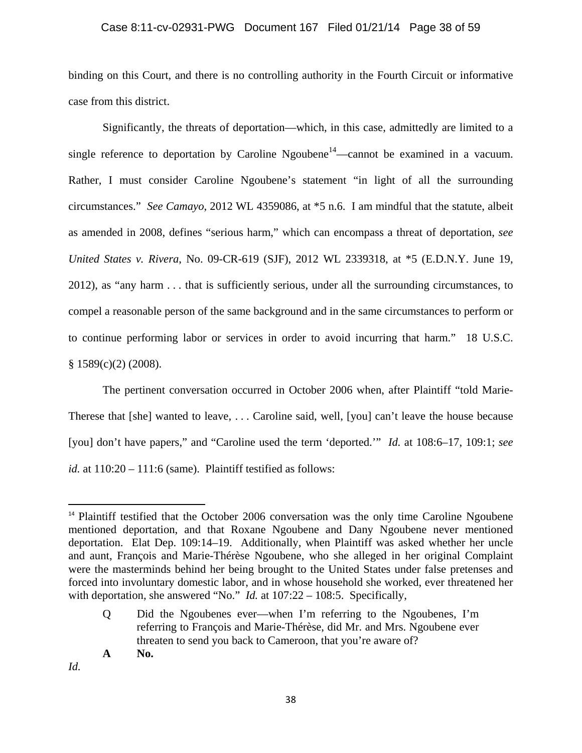# Case 8:11-cv-02931-PWG Document 167 Filed 01/21/14 Page 38 of 59

binding on this Court, and there is no controlling authority in the Fourth Circuit or informative case from this district.

Significantly, the threats of deportation—which, in this case, admittedly are limited to a single reference to deportation by Caroline Ngoubene<sup>14</sup>—cannot be examined in a vacuum. Rather, I must consider Caroline Ngoubene's statement "in light of all the surrounding circumstances." *See Camayo*, 2012 WL 4359086, at \*5 n.6. I am mindful that the statute, albeit as amended in 2008, defines "serious harm," which can encompass a threat of deportation, *see United States v. Rivera*, No. 09-CR-619 (SJF), 2012 WL 2339318, at \*5 (E.D.N.Y. June 19, 2012), as "any harm . . . that is sufficiently serious, under all the surrounding circumstances, to compel a reasonable person of the same background and in the same circumstances to perform or to continue performing labor or services in order to avoid incurring that harm." 18 U.S.C.  $§ 1589(c)(2) (2008).$ 

The pertinent conversation occurred in October 2006 when, after Plaintiff "told Marie-Therese that [she] wanted to leave, . . . Caroline said, well, [you] can't leave the house because [you] don't have papers," and "Caroline used the term 'deported.'" *Id.* at 108:6–17, 109:1; *see id.* at 110:20 – 111:6 (same). Plaintiff testified as follows:

*Id.* 

<sup>&</sup>lt;sup>14</sup> Plaintiff testified that the October 2006 conversation was the only time Caroline Ngoubene mentioned deportation, and that Roxane Ngoubene and Dany Ngoubene never mentioned deportation. Elat Dep. 109:14–19. Additionally, when Plaintiff was asked whether her uncle and aunt, François and Marie-Thérèse Ngoubene, who she alleged in her original Complaint were the masterminds behind her being brought to the United States under false pretenses and forced into involuntary domestic labor, and in whose household she worked, ever threatened her with deportation, she answered "No." *Id.* at 107:22 – 108:5. Specifically,

Q Did the Ngoubenes ever—when I'm referring to the Ngoubenes, I'm referring to François and Marie-Thérèse, did Mr. and Mrs. Ngoubene ever threaten to send you back to Cameroon, that you're aware of?

**A No.**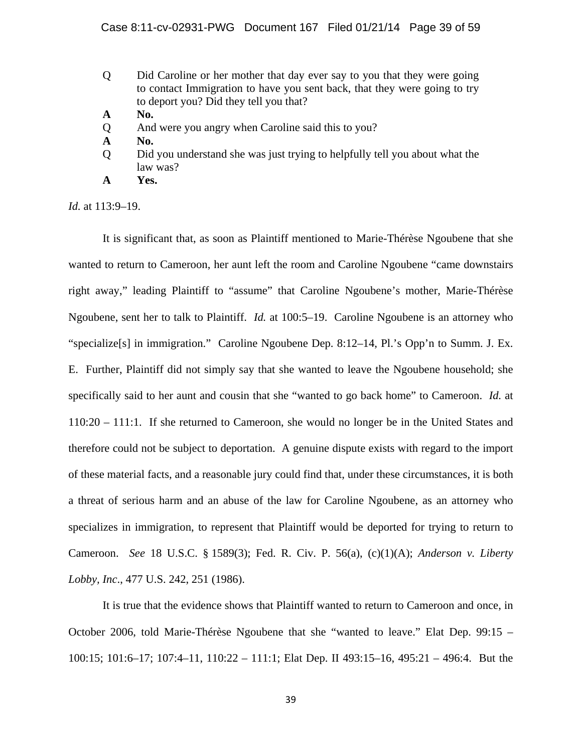- Q Did Caroline or her mother that day ever say to you that they were going to contact Immigration to have you sent back, that they were going to try to deport you? Did they tell you that?
- **A No.**
- Q And were you angry when Caroline said this to you?
- **A No.**
- Q Did you understand she was just trying to helpfully tell you about what the law was?
- **A Yes.**

*Id.* at 113:9–19.

It is significant that, as soon as Plaintiff mentioned to Marie-Thérèse Ngoubene that she wanted to return to Cameroon, her aunt left the room and Caroline Ngoubene "came downstairs right away," leading Plaintiff to "assume" that Caroline Ngoubene's mother, Marie-Thérèse Ngoubene, sent her to talk to Plaintiff. *Id.* at 100:5–19. Caroline Ngoubene is an attorney who "specialize[s] in immigration." Caroline Ngoubene Dep. 8:12–14, Pl.'s Opp'n to Summ. J. Ex. E. Further, Plaintiff did not simply say that she wanted to leave the Ngoubene household; she specifically said to her aunt and cousin that she "wanted to go back home" to Cameroon. *Id.* at 110:20 – 111:1. If she returned to Cameroon, she would no longer be in the United States and therefore could not be subject to deportation. A genuine dispute exists with regard to the import of these material facts, and a reasonable jury could find that, under these circumstances, it is both a threat of serious harm and an abuse of the law for Caroline Ngoubene, as an attorney who specializes in immigration, to represent that Plaintiff would be deported for trying to return to Cameroon. *See* 18 U.S.C. § 1589(3); Fed. R. Civ. P. 56(a), (c)(1)(A); *Anderson v. Liberty Lobby, Inc*., 477 U.S. 242, 251 (1986).

It is true that the evidence shows that Plaintiff wanted to return to Cameroon and once, in October 2006, told Marie-Thérèse Ngoubene that she "wanted to leave." Elat Dep. 99:15 – 100:15; 101:6–17; 107:4–11, 110:22 – 111:1; Elat Dep. II 493:15–16, 495:21 – 496:4. But the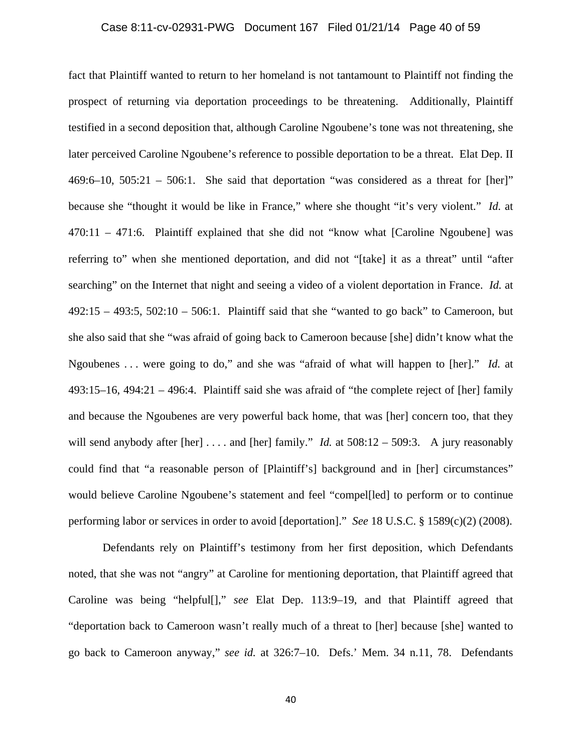### Case 8:11-cv-02931-PWG Document 167 Filed 01/21/14 Page 40 of 59

fact that Plaintiff wanted to return to her homeland is not tantamount to Plaintiff not finding the prospect of returning via deportation proceedings to be threatening. Additionally, Plaintiff testified in a second deposition that, although Caroline Ngoubene's tone was not threatening, she later perceived Caroline Ngoubene's reference to possible deportation to be a threat. Elat Dep. II  $469:6-10$ ,  $505:21 - 506:1$ . She said that deportation "was considered as a threat for [her]" because she "thought it would be like in France," where she thought "it's very violent." *Id.* at 470:11 – 471:6. Plaintiff explained that she did not "know what [Caroline Ngoubene] was referring to" when she mentioned deportation, and did not "[take] it as a threat" until "after searching" on the Internet that night and seeing a video of a violent deportation in France. *Id.* at  $492:15 - 493:5$ ,  $502:10 - 506:1$ . Plaintiff said that she "wanted to go back" to Cameroon, but she also said that she "was afraid of going back to Cameroon because [she] didn't know what the Ngoubenes . . . were going to do," and she was "afraid of what will happen to [her]." *Id.* at 493:15–16, 494:21 – 496:4. Plaintiff said she was afraid of "the complete reject of [her] family and because the Ngoubenes are very powerful back home, that was [her] concern too, that they will send anybody after [her] .... and [her] family." *Id.* at 508:12 – 509:3. A jury reasonably could find that "a reasonable person of [Plaintiff's] background and in [her] circumstances" would believe Caroline Ngoubene's statement and feel "compel[led] to perform or to continue performing labor or services in order to avoid [deportation]." *See* 18 U.S.C. § 1589(c)(2) (2008).

Defendants rely on Plaintiff's testimony from her first deposition, which Defendants noted, that she was not "angry" at Caroline for mentioning deportation, that Plaintiff agreed that Caroline was being "helpful[]," *see* Elat Dep. 113:9–19, and that Plaintiff agreed that "deportation back to Cameroon wasn't really much of a threat to [her] because [she] wanted to go back to Cameroon anyway," *see id.* at 326:7–10. Defs.' Mem. 34 n.11, 78. Defendants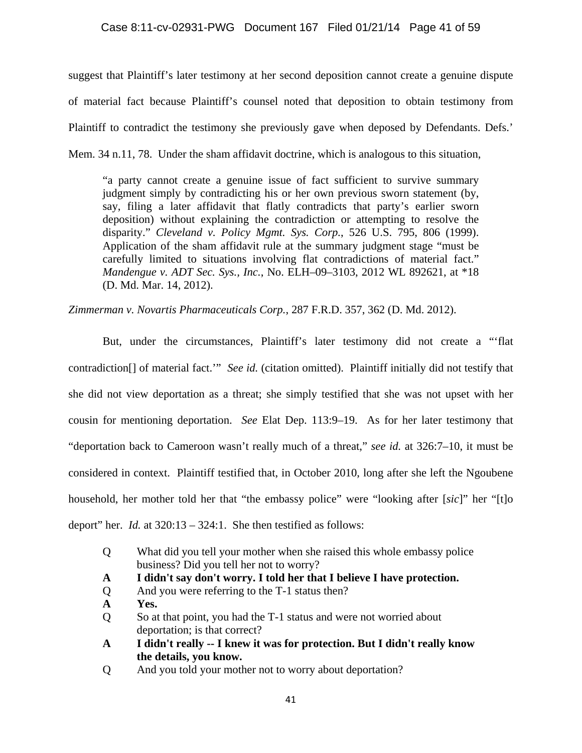suggest that Plaintiff's later testimony at her second deposition cannot create a genuine dispute of material fact because Plaintiff's counsel noted that deposition to obtain testimony from Plaintiff to contradict the testimony she previously gave when deposed by Defendants. Defs.' Mem. 34 n.11, 78. Under the sham affidavit doctrine, which is analogous to this situation,

"a party cannot create a genuine issue of fact sufficient to survive summary judgment simply by contradicting his or her own previous sworn statement (by, say, filing a later affidavit that flatly contradicts that party's earlier sworn deposition) without explaining the contradiction or attempting to resolve the disparity." *Cleveland v. Policy Mgmt. Sys. Corp.*, 526 U.S. 795, 806 (1999). Application of the sham affidavit rule at the summary judgment stage "must be carefully limited to situations involving flat contradictions of material fact." *Mandengue v. ADT Sec. Sys., Inc.*, No. ELH–09–3103, 2012 WL 892621, at \*18 (D. Md. Mar. 14, 2012).

*Zimmerman v. Novartis Pharmaceuticals Corp.*, 287 F.R.D. 357, 362 (D. Md. 2012).

But, under the circumstances, Plaintiff's later testimony did not create a "'flat contradiction[] of material fact.'" *See id.* (citation omitted). Plaintiff initially did not testify that she did not view deportation as a threat; she simply testified that she was not upset with her cousin for mentioning deportation. *See* Elat Dep. 113:9–19. As for her later testimony that "deportation back to Cameroon wasn't really much of a threat," *see id.* at 326:7–10, it must be considered in context. Plaintiff testified that, in October 2010, long after she left the Ngoubene household, her mother told her that "the embassy police" were "looking after [*sic*]" her "[t]o deport" her. *Id.* at 320:13 – 324:1. She then testified as follows:

- Q What did you tell your mother when she raised this whole embassy police business? Did you tell her not to worry?
- **A I didn't say don't worry. I told her that I believe I have protection.**
- Q And you were referring to the T-1 status then?
- **A Yes.**
- Q So at that point, you had the T-1 status and were not worried about deportation; is that correct?
- **A I didn't really -- I knew it was for protection. But I didn't really know the details, you know.**
- Q And you told your mother not to worry about deportation?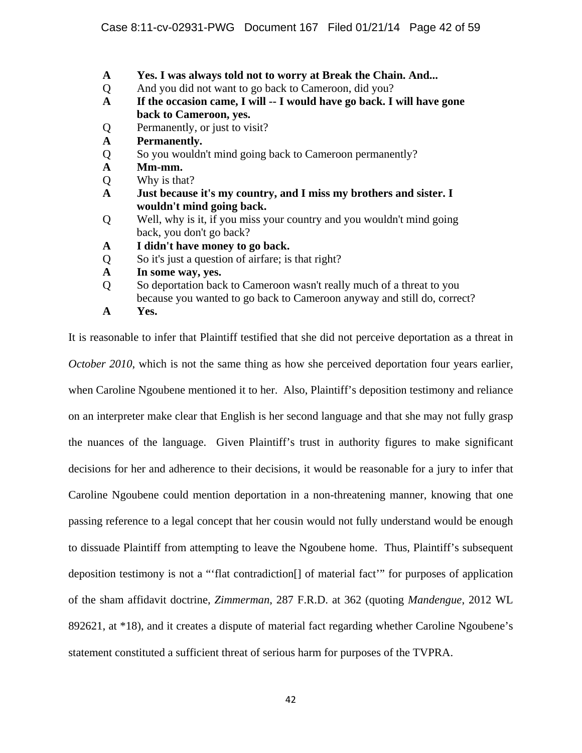- **A Yes. I was always told not to worry at Break the Chain. And...**
- Q And you did not want to go back to Cameroon, did you?
- **A If the occasion came, I will -- I would have go back. I will have gone back to Cameroon, yes.**
- Q Permanently, or just to visit?
- **A Permanently.**
- Q So you wouldn't mind going back to Cameroon permanently?
- **A Mm-mm.**
- Q Why is that?
- **A Just because it's my country, and I miss my brothers and sister. I wouldn't mind going back.**
- Q Well, why is it, if you miss your country and you wouldn't mind going back, you don't go back?
- **A I didn't have money to go back.**
- Q So it's just a question of airfare; is that right?
- **A In some way, yes.**
- Q So deportation back to Cameroon wasn't really much of a threat to you because you wanted to go back to Cameroon anyway and still do, correct?
- **A Yes.**

It is reasonable to infer that Plaintiff testified that she did not perceive deportation as a threat in

*October 2010*, which is not the same thing as how she perceived deportation four years earlier, when Caroline Ngoubene mentioned it to her. Also, Plaintiff's deposition testimony and reliance on an interpreter make clear that English is her second language and that she may not fully grasp the nuances of the language. Given Plaintiff's trust in authority figures to make significant decisions for her and adherence to their decisions, it would be reasonable for a jury to infer that Caroline Ngoubene could mention deportation in a non-threatening manner, knowing that one passing reference to a legal concept that her cousin would not fully understand would be enough to dissuade Plaintiff from attempting to leave the Ngoubene home. Thus, Plaintiff's subsequent deposition testimony is not a "'flat contradiction[] of material fact'" for purposes of application of the sham affidavit doctrine, *Zimmerman*, 287 F.R.D. at 362 (quoting *Mandengue*, 2012 WL 892621, at \*18), and it creates a dispute of material fact regarding whether Caroline Ngoubene's statement constituted a sufficient threat of serious harm for purposes of the TVPRA.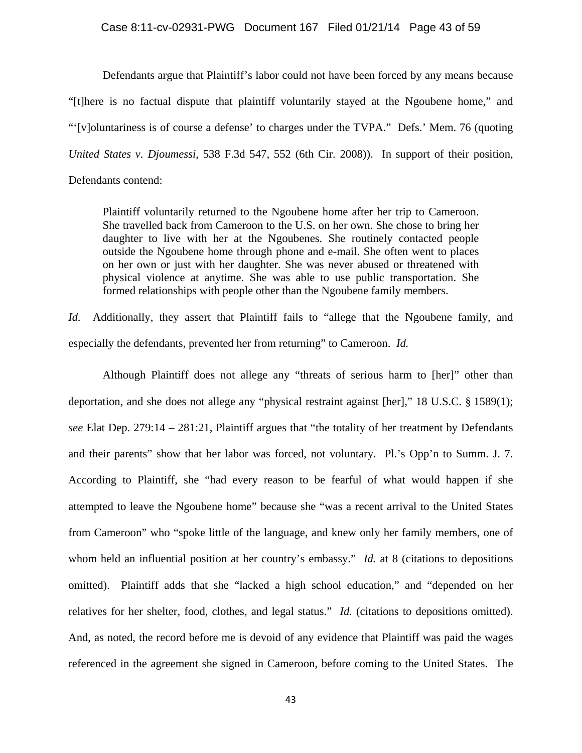#### Case 8:11-cv-02931-PWG Document 167 Filed 01/21/14 Page 43 of 59

Defendants argue that Plaintiff's labor could not have been forced by any means because "[t]here is no factual dispute that plaintiff voluntarily stayed at the Ngoubene home," and "'[v]oluntariness is of course a defense' to charges under the TVPA." Defs.' Mem. 76 (quoting *United States v. Djoumessi*, 538 F.3d 547, 552 (6th Cir. 2008)). In support of their position, Defendants contend:

Plaintiff voluntarily returned to the Ngoubene home after her trip to Cameroon. She travelled back from Cameroon to the U.S. on her own. She chose to bring her daughter to live with her at the Ngoubenes. She routinely contacted people outside the Ngoubene home through phone and e-mail. She often went to places on her own or just with her daughter. She was never abused or threatened with physical violence at anytime. She was able to use public transportation. She formed relationships with people other than the Ngoubene family members.

*Id.* Additionally, they assert that Plaintiff fails to "allege that the Ngoubene family, and especially the defendants, prevented her from returning" to Cameroon. *Id.* 

Although Plaintiff does not allege any "threats of serious harm to [her]" other than deportation, and she does not allege any "physical restraint against [her]," 18 U.S.C. § 1589(1); *see* Elat Dep. 279:14 – 281:21, Plaintiff argues that "the totality of her treatment by Defendants and their parents" show that her labor was forced, not voluntary. Pl.'s Opp'n to Summ. J. 7. According to Plaintiff, she "had every reason to be fearful of what would happen if she attempted to leave the Ngoubene home" because she "was a recent arrival to the United States from Cameroon" who "spoke little of the language, and knew only her family members, one of whom held an influential position at her country's embassy." *Id.* at 8 (citations to depositions omitted). Plaintiff adds that she "lacked a high school education," and "depended on her relatives for her shelter, food, clothes, and legal status." *Id.* (citations to depositions omitted). And, as noted, the record before me is devoid of any evidence that Plaintiff was paid the wages referenced in the agreement she signed in Cameroon, before coming to the United States. The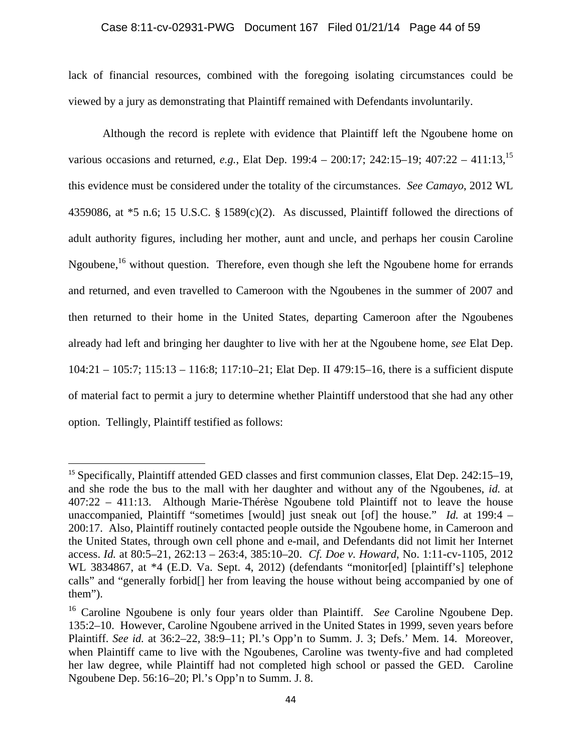# Case 8:11-cv-02931-PWG Document 167 Filed 01/21/14 Page 44 of 59

lack of financial resources, combined with the foregoing isolating circumstances could be viewed by a jury as demonstrating that Plaintiff remained with Defendants involuntarily.

Although the record is replete with evidence that Plaintiff left the Ngoubene home on various occasions and returned, *e.g.*, Elat Dep. 199:4 – 200:17; 242:15–19; 407:22 – 411:13,15 this evidence must be considered under the totality of the circumstances. *See Camayo*, 2012 WL 4359086, at  $*5$  n.6; 15 U.S.C. § 1589(c)(2). As discussed, Plaintiff followed the directions of adult authority figures, including her mother, aunt and uncle, and perhaps her cousin Caroline Ngoubene,<sup>16</sup> without question. Therefore, even though she left the Ngoubene home for errands and returned, and even travelled to Cameroon with the Ngoubenes in the summer of 2007 and then returned to their home in the United States, departing Cameroon after the Ngoubenes already had left and bringing her daughter to live with her at the Ngoubene home, *see* Elat Dep. 104:21 – 105:7; 115:13 – 116:8; 117:10–21; Elat Dep. II 479:15–16, there is a sufficient dispute of material fact to permit a jury to determine whether Plaintiff understood that she had any other option. Tellingly, Plaintiff testified as follows:

<sup>&</sup>lt;sup>15</sup> Specifically, Plaintiff attended GED classes and first communion classes, Elat Dep. 242:15–19, and she rode the bus to the mall with her daughter and without any of the Ngoubenes, *id.* at 407:22 – 411:13. Although Marie-Thérèse Ngoubene told Plaintiff not to leave the house unaccompanied, Plaintiff "sometimes [would] just sneak out [of] the house." *Id.* at 199:4 – 200:17. Also, Plaintiff routinely contacted people outside the Ngoubene home, in Cameroon and the United States, through own cell phone and e-mail, and Defendants did not limit her Internet access. *Id.* at 80:5–21, 262:13 – 263:4, 385:10–20. *Cf. Doe v. Howard*, No. 1:11-cv-1105, 2012 WL 3834867, at \*4 (E.D. Va. Sept. 4, 2012) (defendants "monitor[ed] [plaintiff's] telephone calls" and "generally forbid[] her from leaving the house without being accompanied by one of them").

<sup>&</sup>lt;sup>16</sup> Caroline Ngoubene is only four years older than Plaintiff. *See* Caroline Ngoubene Dep. 135:2–10. However, Caroline Ngoubene arrived in the United States in 1999, seven years before Plaintiff. *See id.* at 36:2–22, 38:9–11; Pl.'s Opp'n to Summ. J. 3; Defs.' Mem. 14. Moreover, when Plaintiff came to live with the Ngoubenes, Caroline was twenty-five and had completed her law degree, while Plaintiff had not completed high school or passed the GED. Caroline Ngoubene Dep. 56:16–20; Pl.'s Opp'n to Summ. J. 8.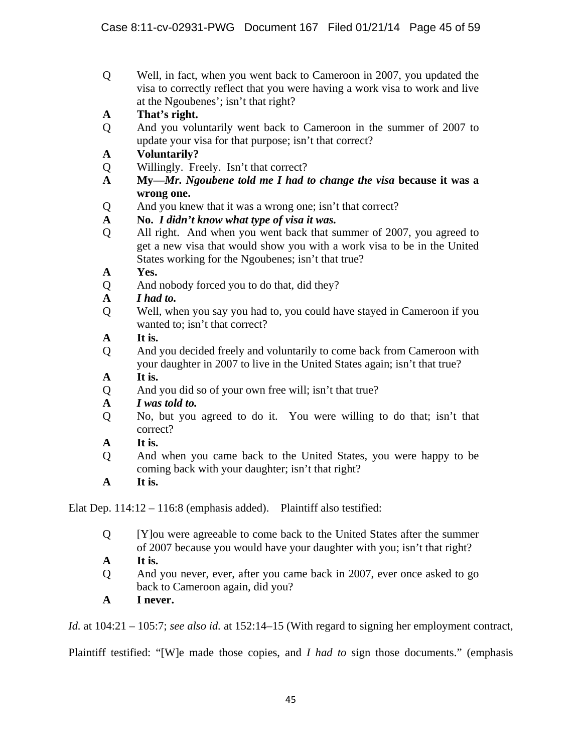- Q Well, in fact, when you went back to Cameroon in 2007, you updated the visa to correctly reflect that you were having a work visa to work and live at the Ngoubenes'; isn't that right?
- **A That's right.**
- Q And you voluntarily went back to Cameroon in the summer of 2007 to update your visa for that purpose; isn't that correct?
- **A Voluntarily?**
- Q Willingly. Freely. Isn't that correct?
- **A My—***Mr. Ngoubene told me I had to change the visa* **because it was a wrong one.**
- Q And you knew that it was a wrong one; isn't that correct?
- **A No.** *I didn't know what type of visa it was.*
- Q All right. And when you went back that summer of 2007, you agreed to get a new visa that would show you with a work visa to be in the United States working for the Ngoubenes; isn't that true?
- **A Yes.**
- Q And nobody forced you to do that, did they?
- **A** *I had to.*
- Q Well, when you say you had to, you could have stayed in Cameroon if you wanted to; isn't that correct?
- **A It is.**
- Q And you decided freely and voluntarily to come back from Cameroon with your daughter in 2007 to live in the United States again; isn't that true?
- **A It is.**
- Q And you did so of your own free will; isn't that true?

# **A** *I was told to.*

- Q No, but you agreed to do it. You were willing to do that; isn't that correct?
- **A It is.**
- Q And when you came back to the United States, you were happy to be coming back with your daughter; isn't that right?
- **A It is.**

Elat Dep. 114:12 – 116:8 (emphasis added). Plaintiff also testified:

- Q [Y]ou were agreeable to come back to the United States after the summer of 2007 because you would have your daughter with you; isn't that right?
- **A It is.**
- Q And you never, ever, after you came back in 2007, ever once asked to go back to Cameroon again, did you?
- **A I never.**

*Id.* at 104:21 – 105:7; *see also id.* at 152:14–15 (With regard to signing her employment contract,

Plaintiff testified: "[W]e made those copies, and *I had to* sign those documents." (emphasis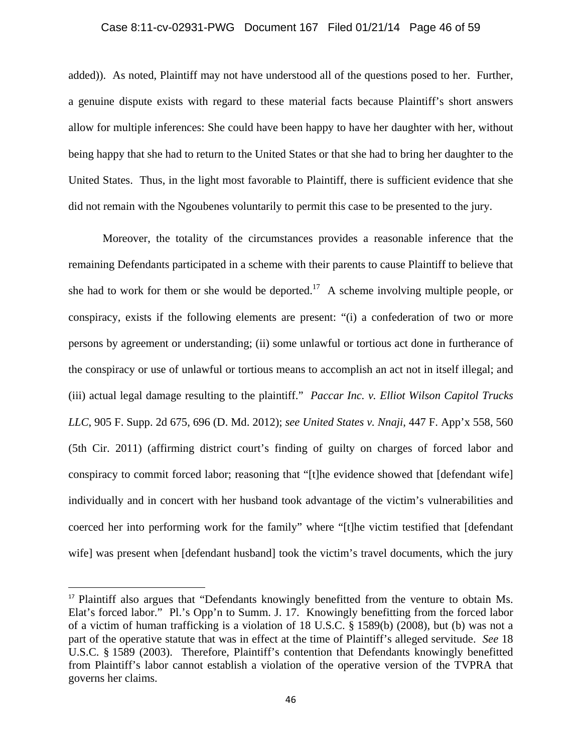# Case 8:11-cv-02931-PWG Document 167 Filed 01/21/14 Page 46 of 59

added)). As noted, Plaintiff may not have understood all of the questions posed to her. Further, a genuine dispute exists with regard to these material facts because Plaintiff's short answers allow for multiple inferences: She could have been happy to have her daughter with her, without being happy that she had to return to the United States or that she had to bring her daughter to the United States. Thus, in the light most favorable to Plaintiff, there is sufficient evidence that she did not remain with the Ngoubenes voluntarily to permit this case to be presented to the jury.

Moreover, the totality of the circumstances provides a reasonable inference that the remaining Defendants participated in a scheme with their parents to cause Plaintiff to believe that she had to work for them or she would be deported.<sup>17</sup> A scheme involving multiple people, or conspiracy, exists if the following elements are present: "(i) a confederation of two or more persons by agreement or understanding; (ii) some unlawful or tortious act done in furtherance of the conspiracy or use of unlawful or tortious means to accomplish an act not in itself illegal; and (iii) actual legal damage resulting to the plaintiff." *Paccar Inc. v. Elliot Wilson Capitol Trucks LLC*, 905 F. Supp. 2d 675, 696 (D. Md. 2012); *see United States v. Nnaji*, 447 F. App'x 558, 560 (5th Cir. 2011) (affirming district court's finding of guilty on charges of forced labor and conspiracy to commit forced labor; reasoning that "[t]he evidence showed that [defendant wife] individually and in concert with her husband took advantage of the victim's vulnerabilities and coerced her into performing work for the family" where "[t]he victim testified that [defendant wife] was present when [defendant husband] took the victim's travel documents, which the jury

<sup>&</sup>lt;sup>17</sup> Plaintiff also argues that "Defendants knowingly benefitted from the venture to obtain Ms. Elat's forced labor." Pl.'s Opp'n to Summ. J. 17. Knowingly benefitting from the forced labor of a victim of human trafficking is a violation of 18 U.S.C. § 1589(b) (2008), but (b) was not a part of the operative statute that was in effect at the time of Plaintiff's alleged servitude. *See* 18 U.S.C. § 1589 (2003). Therefore, Plaintiff's contention that Defendants knowingly benefitted from Plaintiff's labor cannot establish a violation of the operative version of the TVPRA that governs her claims.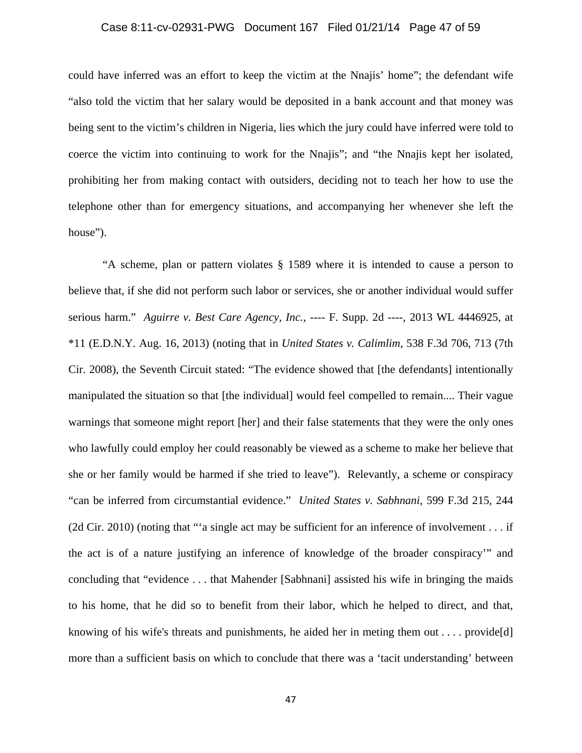# Case 8:11-cv-02931-PWG Document 167 Filed 01/21/14 Page 47 of 59

could have inferred was an effort to keep the victim at the Nnajis' home"; the defendant wife "also told the victim that her salary would be deposited in a bank account and that money was being sent to the victim's children in Nigeria, lies which the jury could have inferred were told to coerce the victim into continuing to work for the Nnajis"; and "the Nnajis kept her isolated, prohibiting her from making contact with outsiders, deciding not to teach her how to use the telephone other than for emergency situations, and accompanying her whenever she left the house").

"A scheme, plan or pattern violates § 1589 where it is intended to cause a person to believe that, if she did not perform such labor or services, she or another individual would suffer serious harm." *Aguirre v. Best Care Agency, Inc.*, ---- F. Supp. 2d ----, 2013 WL 4446925, at \*11 (E.D.N.Y. Aug. 16, 2013) (noting that in *United States v. Calimlim*, 538 F.3d 706, 713 (7th Cir. 2008), the Seventh Circuit stated: "The evidence showed that [the defendants] intentionally manipulated the situation so that [the individual] would feel compelled to remain.... Their vague warnings that someone might report [her] and their false statements that they were the only ones who lawfully could employ her could reasonably be viewed as a scheme to make her believe that she or her family would be harmed if she tried to leave"). Relevantly, a scheme or conspiracy "can be inferred from circumstantial evidence." *United States v. Sabhnani*, 599 F.3d 215, 244 (2d Cir. 2010) (noting that "'a single act may be sufficient for an inference of involvement . . . if the act is of a nature justifying an inference of knowledge of the broader conspiracy'" and concluding that "evidence . . . that Mahender [Sabhnani] assisted his wife in bringing the maids to his home, that he did so to benefit from their labor, which he helped to direct, and that, knowing of his wife's threats and punishments, he aided her in meting them out  $\dots$  provide[d] more than a sufficient basis on which to conclude that there was a 'tacit understanding' between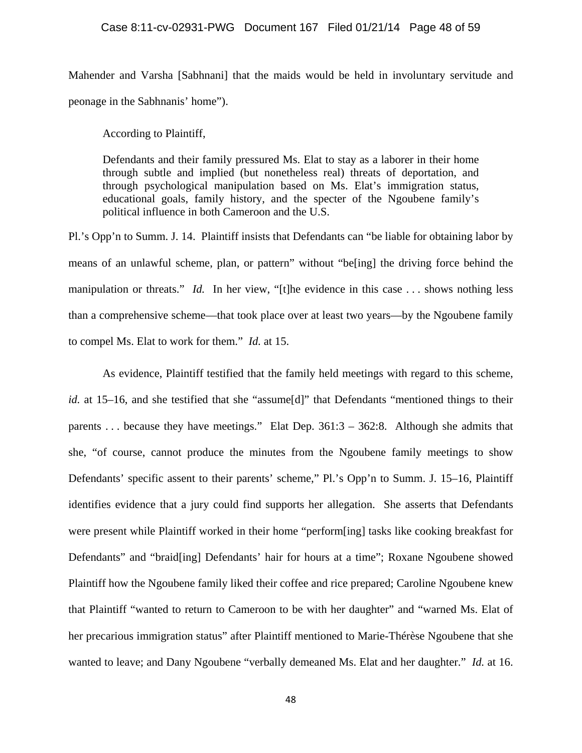Mahender and Varsha [Sabhnani] that the maids would be held in involuntary servitude and peonage in the Sabhnanis' home").

According to Plaintiff,

Defendants and their family pressured Ms. Elat to stay as a laborer in their home through subtle and implied (but nonetheless real) threats of deportation, and through psychological manipulation based on Ms. Elat's immigration status, educational goals, family history, and the specter of the Ngoubene family's political influence in both Cameroon and the U.S.

Pl.'s Opp'n to Summ. J. 14. Plaintiff insists that Defendants can "be liable for obtaining labor by means of an unlawful scheme, plan, or pattern" without "be[ing] the driving force behind the manipulation or threats." *Id.* In her view, "[t]he evidence in this case ... shows nothing less than a comprehensive scheme—that took place over at least two years—by the Ngoubene family to compel Ms. Elat to work for them." *Id.* at 15.

As evidence, Plaintiff testified that the family held meetings with regard to this scheme, *id.* at 15–16, and she testified that she "assume[d]" that Defendants "mentioned things to their parents . . . because they have meetings." Elat Dep. 361:3 – 362:8. Although she admits that she, "of course, cannot produce the minutes from the Ngoubene family meetings to show Defendants' specific assent to their parents' scheme," Pl.'s Opp'n to Summ. J. 15–16, Plaintiff identifies evidence that a jury could find supports her allegation. She asserts that Defendants were present while Plaintiff worked in their home "perform[ing] tasks like cooking breakfast for Defendants" and "braid[ing] Defendants' hair for hours at a time"; Roxane Ngoubene showed Plaintiff how the Ngoubene family liked their coffee and rice prepared; Caroline Ngoubene knew that Plaintiff "wanted to return to Cameroon to be with her daughter" and "warned Ms. Elat of her precarious immigration status" after Plaintiff mentioned to Marie-Thérèse Ngoubene that she wanted to leave; and Dany Ngoubene "verbally demeaned Ms. Elat and her daughter." *Id.* at 16.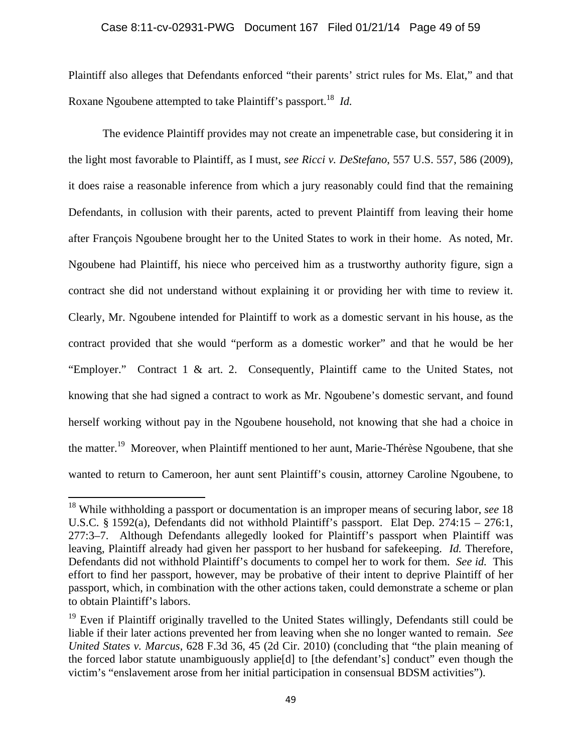## Case 8:11-cv-02931-PWG Document 167 Filed 01/21/14 Page 49 of 59

Plaintiff also alleges that Defendants enforced "their parents' strict rules for Ms. Elat," and that Roxane Ngoubene attempted to take Plaintiff's passport.<sup>18</sup> *Id.* 

The evidence Plaintiff provides may not create an impenetrable case, but considering it in the light most favorable to Plaintiff, as I must, *see Ricci v. DeStefano*, 557 U.S. 557, 586 (2009), it does raise a reasonable inference from which a jury reasonably could find that the remaining Defendants, in collusion with their parents, acted to prevent Plaintiff from leaving their home after François Ngoubene brought her to the United States to work in their home. As noted, Mr. Ngoubene had Plaintiff, his niece who perceived him as a trustworthy authority figure, sign a contract she did not understand without explaining it or providing her with time to review it. Clearly, Mr. Ngoubene intended for Plaintiff to work as a domestic servant in his house, as the contract provided that she would "perform as a domestic worker" and that he would be her "Employer." Contract 1 & art. 2. Consequently, Plaintiff came to the United States, not knowing that she had signed a contract to work as Mr. Ngoubene's domestic servant, and found herself working without pay in the Ngoubene household, not knowing that she had a choice in the matter.<sup>19</sup> Moreover, when Plaintiff mentioned to her aunt, Marie-Thérèse Ngoubene, that she wanted to return to Cameroon, her aunt sent Plaintiff's cousin, attorney Caroline Ngoubene, to

<sup>18</sup> While withholding a passport or documentation is an improper means of securing labor, *see* 18 U.S.C. § 1592(a), Defendants did not withhold Plaintiff's passport. Elat Dep. 274:15 – 276:1, 277:3–7. Although Defendants allegedly looked for Plaintiff's passport when Plaintiff was leaving, Plaintiff already had given her passport to her husband for safekeeping. *Id.* Therefore, Defendants did not withhold Plaintiff's documents to compel her to work for them. *See id.* This effort to find her passport, however, may be probative of their intent to deprive Plaintiff of her passport, which, in combination with the other actions taken, could demonstrate a scheme or plan to obtain Plaintiff's labors.

<sup>&</sup>lt;sup>19</sup> Even if Plaintiff originally travelled to the United States willingly, Defendants still could be liable if their later actions prevented her from leaving when she no longer wanted to remain. *See United States v. Marcus*, 628 F.3d 36, 45 (2d Cir. 2010) (concluding that "the plain meaning of the forced labor statute unambiguously applie[d] to [the defendant's] conduct" even though the victim's "enslavement arose from her initial participation in consensual BDSM activities").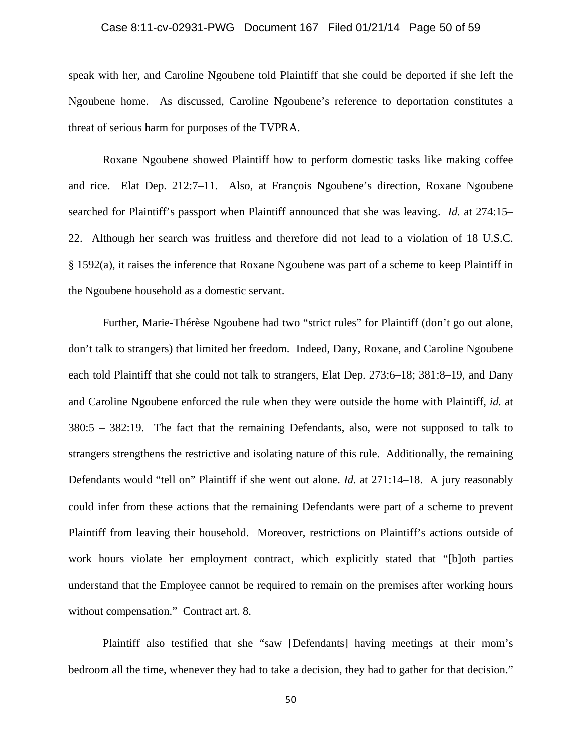# Case 8:11-cv-02931-PWG Document 167 Filed 01/21/14 Page 50 of 59

speak with her, and Caroline Ngoubene told Plaintiff that she could be deported if she left the Ngoubene home. As discussed, Caroline Ngoubene's reference to deportation constitutes a threat of serious harm for purposes of the TVPRA.

Roxane Ngoubene showed Plaintiff how to perform domestic tasks like making coffee and rice. Elat Dep. 212:7–11. Also, at François Ngoubene's direction, Roxane Ngoubene searched for Plaintiff's passport when Plaintiff announced that she was leaving. *Id.* at 274:15– 22. Although her search was fruitless and therefore did not lead to a violation of 18 U.S.C. § 1592(a), it raises the inference that Roxane Ngoubene was part of a scheme to keep Plaintiff in the Ngoubene household as a domestic servant.

Further, Marie-Thérèse Ngoubene had two "strict rules" for Plaintiff (don't go out alone, don't talk to strangers) that limited her freedom. Indeed, Dany, Roxane, and Caroline Ngoubene each told Plaintiff that she could not talk to strangers, Elat Dep. 273:6–18; 381:8–19, and Dany and Caroline Ngoubene enforced the rule when they were outside the home with Plaintiff, *id.* at 380:5 – 382:19. The fact that the remaining Defendants, also, were not supposed to talk to strangers strengthens the restrictive and isolating nature of this rule. Additionally, the remaining Defendants would "tell on" Plaintiff if she went out alone. *Id.* at 271:14–18. A jury reasonably could infer from these actions that the remaining Defendants were part of a scheme to prevent Plaintiff from leaving their household. Moreover, restrictions on Plaintiff's actions outside of work hours violate her employment contract, which explicitly stated that "[b]oth parties understand that the Employee cannot be required to remain on the premises after working hours without compensation." Contract art. 8.

Plaintiff also testified that she "saw [Defendants] having meetings at their mom's bedroom all the time, whenever they had to take a decision, they had to gather for that decision."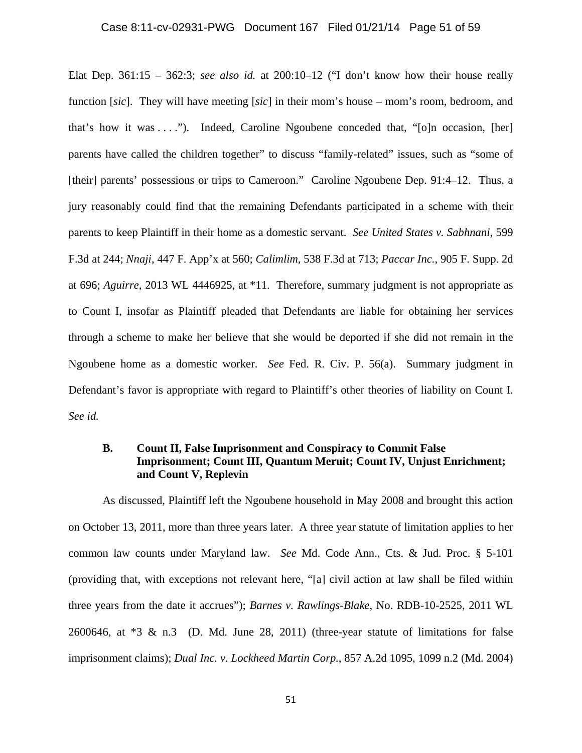#### Case 8:11-cv-02931-PWG Document 167 Filed 01/21/14 Page 51 of 59

Elat Dep. 361:15 – 362:3; *see also id.* at 200:10–12 ("I don't know how their house really function [*sic*]. They will have meeting [*sic*] in their mom's house – mom's room, bedroom, and that's how it was . . . ."). Indeed, Caroline Ngoubene conceded that, "[o]n occasion, [her] parents have called the children together" to discuss "family-related" issues, such as "some of [their] parents' possessions or trips to Cameroon." Caroline Ngoubene Dep. 91:4-12. Thus, a jury reasonably could find that the remaining Defendants participated in a scheme with their parents to keep Plaintiff in their home as a domestic servant. *See United States v. Sabhnani*, 599 F.3d at 244; *Nnaji*, 447 F. App'x at 560; *Calimlim*, 538 F.3d at 713; *Paccar Inc.*, 905 F. Supp. 2d at 696; *Aguirre*, 2013 WL 4446925, at \*11. Therefore, summary judgment is not appropriate as to Count I, insofar as Plaintiff pleaded that Defendants are liable for obtaining her services through a scheme to make her believe that she would be deported if she did not remain in the Ngoubene home as a domestic worker. *See* Fed. R. Civ. P. 56(a). Summary judgment in Defendant's favor is appropriate with regard to Plaintiff's other theories of liability on Count I. *See id.* 

# **B. Count II, False Imprisonment and Conspiracy to Commit False Imprisonment; Count III, Quantum Meruit; Count IV, Unjust Enrichment; and Count V, Replevin**

As discussed, Plaintiff left the Ngoubene household in May 2008 and brought this action on October 13, 2011, more than three years later. A three year statute of limitation applies to her common law counts under Maryland law. *See* Md. Code Ann., Cts. & Jud. Proc. § 5-101 (providing that, with exceptions not relevant here, "[a] civil action at law shall be filed within three years from the date it accrues"); *Barnes v. Rawlings-Blake*, No. RDB-10-2525, 2011 WL 2600646, at  $*3 \& n.3$  (D. Md. June 28, 2011) (three-year statute of limitations for false imprisonment claims); *Dual Inc. v. Lockheed Martin Corp.*, 857 A.2d 1095, 1099 n.2 (Md. 2004)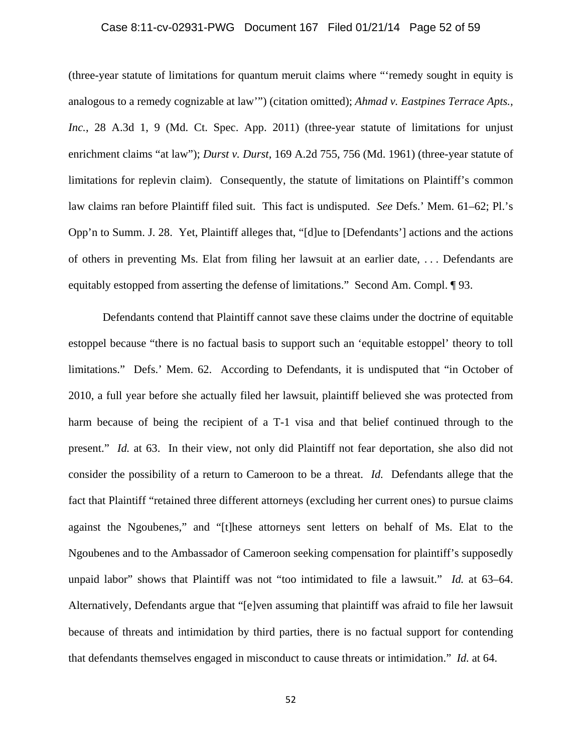## Case 8:11-cv-02931-PWG Document 167 Filed 01/21/14 Page 52 of 59

(three-year statute of limitations for quantum meruit claims where "'remedy sought in equity is analogous to a remedy cognizable at law'") (citation omitted); *Ahmad v. Eastpines Terrace Apts.,*  Inc., 28 A.3d 1, 9 (Md. Ct. Spec. App. 2011) (three-year statute of limitations for unjust enrichment claims "at law"); *Durst v. Durst*, 169 A.2d 755, 756 (Md. 1961) (three-year statute of limitations for replevin claim). Consequently, the statute of limitations on Plaintiff's common law claims ran before Plaintiff filed suit. This fact is undisputed. *See* Defs.' Mem. 61–62; Pl.'s Opp'n to Summ. J. 28. Yet, Plaintiff alleges that, "[d]ue to [Defendants'] actions and the actions of others in preventing Ms. Elat from filing her lawsuit at an earlier date, . . . Defendants are equitably estopped from asserting the defense of limitations." Second Am. Compl. ¶ 93.

Defendants contend that Plaintiff cannot save these claims under the doctrine of equitable estoppel because "there is no factual basis to support such an 'equitable estoppel' theory to toll limitations." Defs.' Mem. 62. According to Defendants, it is undisputed that "in October of 2010, a full year before she actually filed her lawsuit, plaintiff believed she was protected from harm because of being the recipient of a T-1 visa and that belief continued through to the present." *Id.* at 63. In their view, not only did Plaintiff not fear deportation, she also did not consider the possibility of a return to Cameroon to be a threat. *Id.* Defendants allege that the fact that Plaintiff "retained three different attorneys (excluding her current ones) to pursue claims against the Ngoubenes," and "[t]hese attorneys sent letters on behalf of Ms. Elat to the Ngoubenes and to the Ambassador of Cameroon seeking compensation for plaintiff's supposedly unpaid labor" shows that Plaintiff was not "too intimidated to file a lawsuit." *Id.* at 63–64. Alternatively, Defendants argue that "[e]ven assuming that plaintiff was afraid to file her lawsuit because of threats and intimidation by third parties, there is no factual support for contending that defendants themselves engaged in misconduct to cause threats or intimidation." *Id.* at 64.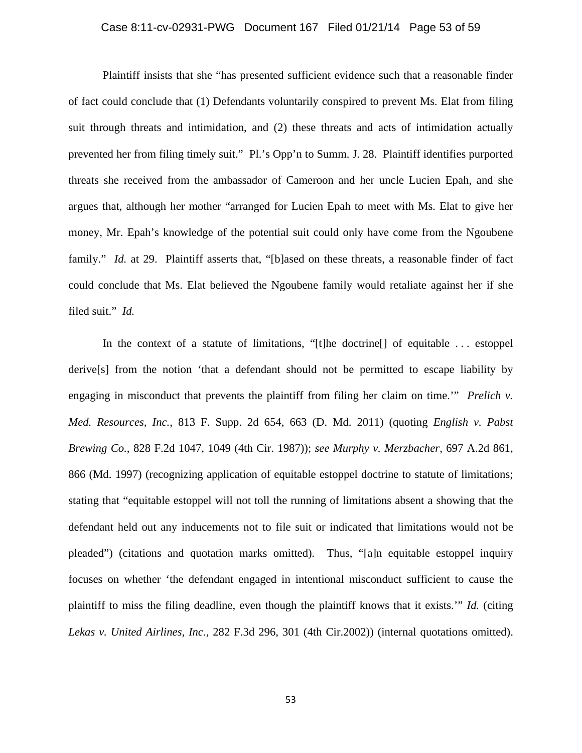# Case 8:11-cv-02931-PWG Document 167 Filed 01/21/14 Page 53 of 59

Plaintiff insists that she "has presented sufficient evidence such that a reasonable finder of fact could conclude that (1) Defendants voluntarily conspired to prevent Ms. Elat from filing suit through threats and intimidation, and (2) these threats and acts of intimidation actually prevented her from filing timely suit." Pl.'s Opp'n to Summ. J. 28. Plaintiff identifies purported threats she received from the ambassador of Cameroon and her uncle Lucien Epah, and she argues that, although her mother "arranged for Lucien Epah to meet with Ms. Elat to give her money, Mr. Epah's knowledge of the potential suit could only have come from the Ngoubene family." *Id.* at 29. Plaintiff asserts that, "[b]ased on these threats, a reasonable finder of fact could conclude that Ms. Elat believed the Ngoubene family would retaliate against her if she filed suit." *Id.*

In the context of a statute of limitations, "[t]he doctrine[] of equitable . . . estoppel derive[s] from the notion 'that a defendant should not be permitted to escape liability by engaging in misconduct that prevents the plaintiff from filing her claim on time.'" *Prelich v. Med. Resources, Inc.*, 813 F. Supp. 2d 654, 663 (D. Md. 2011) (quoting *English v. Pabst Brewing Co.*, 828 F.2d 1047, 1049 (4th Cir. 1987)); *see Murphy v. Merzbacher*, 697 A.2d 861, 866 (Md. 1997) (recognizing application of equitable estoppel doctrine to statute of limitations; stating that "equitable estoppel will not toll the running of limitations absent a showing that the defendant held out any inducements not to file suit or indicated that limitations would not be pleaded") (citations and quotation marks omitted). Thus, "[a]n equitable estoppel inquiry focuses on whether 'the defendant engaged in intentional misconduct sufficient to cause the plaintiff to miss the filing deadline, even though the plaintiff knows that it exists.'" *Id.* (citing *Lekas v. United Airlines, Inc.*, 282 F.3d 296, 301 (4th Cir.2002)) (internal quotations omitted).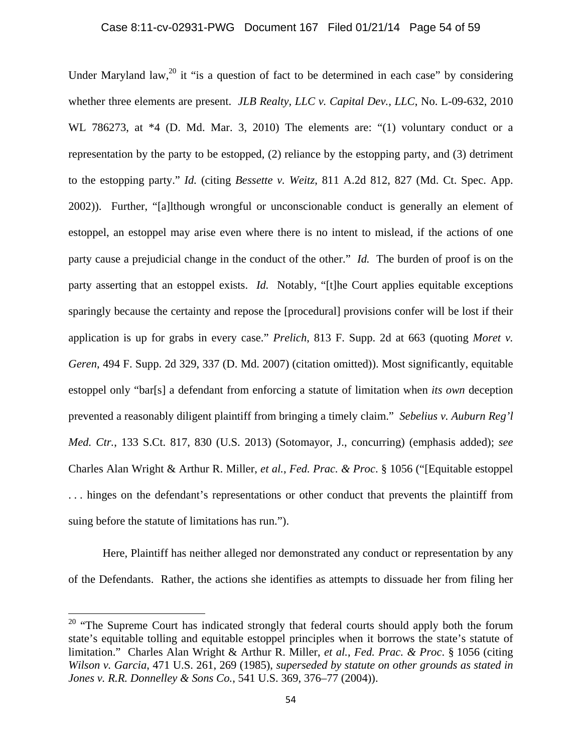Under Maryland law,<sup>20</sup> it "is a question of fact to be determined in each case" by considering whether three elements are present. *JLB Realty, LLC v. Capital Dev., LLC*, No. L-09-632, 2010 WL 786273, at \*4 (D. Md. Mar. 3, 2010) The elements are: "(1) voluntary conduct or a representation by the party to be estopped, (2) reliance by the estopping party, and (3) detriment to the estopping party." *Id.* (citing *Bessette v. Weitz*, 811 A.2d 812, 827 (Md. Ct. Spec. App. 2002)). Further, "[a]lthough wrongful or unconscionable conduct is generally an element of estoppel, an estoppel may arise even where there is no intent to mislead, if the actions of one party cause a prejudicial change in the conduct of the other." *Id.* The burden of proof is on the party asserting that an estoppel exists. *Id.* Notably, "[t]he Court applies equitable exceptions sparingly because the certainty and repose the [procedural] provisions confer will be lost if their application is up for grabs in every case." *Prelich*, 813 F. Supp. 2d at 663 (quoting *Moret v. Geren*, 494 F. Supp. 2d 329, 337 (D. Md. 2007) (citation omitted)). Most significantly, equitable estoppel only "bar[s] a defendant from enforcing a statute of limitation when *its own* deception prevented a reasonably diligent plaintiff from bringing a timely claim." *Sebelius v. Auburn Reg'l Med. Ctr.*, 133 S.Ct. 817, 830 (U.S. 2013) (Sotomayor, J., concurring) (emphasis added); *see*  Charles Alan Wright & Arthur R. Miller, *et al.*, *Fed. Prac. & Proc*. § 1056 ("[Equitable estoppel . . . hinges on the defendant's representations or other conduct that prevents the plaintiff from suing before the statute of limitations has run.").

Here, Plaintiff has neither alleged nor demonstrated any conduct or representation by any of the Defendants. Rather, the actions she identifies as attempts to dissuade her from filing her

 $20$  "The Supreme Court has indicated strongly that federal courts should apply both the forum state's equitable tolling and equitable estoppel principles when it borrows the state's statute of limitation." Charles Alan Wright & Arthur R. Miller, *et al.*, *Fed. Prac. & Proc*. § 1056 (citing *Wilson v. Garcia*, 471 U.S. 261, 269 (1985), *superseded by statute on other grounds as stated in Jones v. R.R. Donnelley & Sons Co.*, 541 U.S. 369, 376–77 (2004)).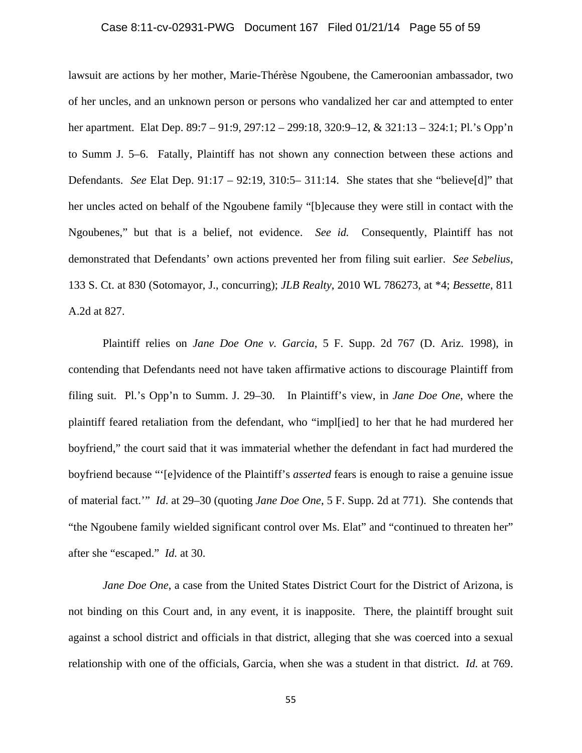#### Case 8:11-cv-02931-PWG Document 167 Filed 01/21/14 Page 55 of 59

lawsuit are actions by her mother, Marie-Thérèse Ngoubene, the Cameroonian ambassador, two of her uncles, and an unknown person or persons who vandalized her car and attempted to enter her apartment. Elat Dep. 89:7 – 91:9, 297:12 – 299:18, 320:9–12, & 321:13 – 324:1; Pl.'s Opp'n to Summ J. 5–6. Fatally, Plaintiff has not shown any connection between these actions and Defendants. *See* Elat Dep. 91:17 – 92:19, 310:5– 311:14. She states that she "believe[d]" that her uncles acted on behalf of the Ngoubene family "[b]ecause they were still in contact with the Ngoubenes," but that is a belief, not evidence. *See id.* Consequently, Plaintiff has not demonstrated that Defendants' own actions prevented her from filing suit earlier. *See Sebelius*, 133 S. Ct. at 830 (Sotomayor, J., concurring); *JLB Realty*, 2010 WL 786273, at \*4; *Bessette*, 811 A.2d at 827.

Plaintiff relies on *Jane Doe One v. Garcia*, 5 F. Supp. 2d 767 (D. Ariz. 1998), in contending that Defendants need not have taken affirmative actions to discourage Plaintiff from filing suit. Pl.'s Opp'n to Summ. J. 29–30. In Plaintiff's view, in *Jane Doe One*, where the plaintiff feared retaliation from the defendant, who "impl[ied] to her that he had murdered her boyfriend," the court said that it was immaterial whether the defendant in fact had murdered the boyfriend because "'[e]vidence of the Plaintiff's *asserted* fears is enough to raise a genuine issue of material fact.'" *Id*. at 29–30 (quoting *Jane Doe One*, 5 F. Supp. 2d at 771). She contends that "the Ngoubene family wielded significant control over Ms. Elat" and "continued to threaten her" after she "escaped." *Id.* at 30.

*Jane Doe One*, a case from the United States District Court for the District of Arizona, is not binding on this Court and, in any event, it is inapposite. There, the plaintiff brought suit against a school district and officials in that district, alleging that she was coerced into a sexual relationship with one of the officials, Garcia, when she was a student in that district. *Id.* at 769.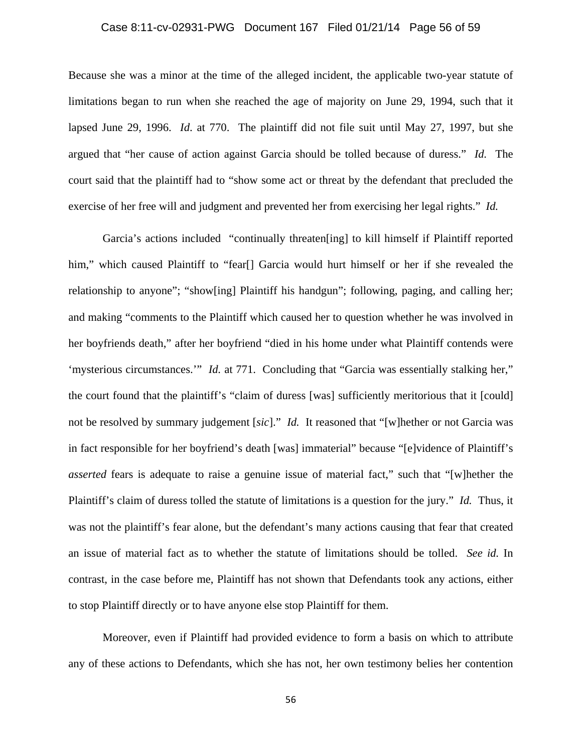# Case 8:11-cv-02931-PWG Document 167 Filed 01/21/14 Page 56 of 59

Because she was a minor at the time of the alleged incident, the applicable two-year statute of limitations began to run when she reached the age of majority on June 29, 1994, such that it lapsed June 29, 1996. *Id*. at 770. The plaintiff did not file suit until May 27, 1997, but she argued that "her cause of action against Garcia should be tolled because of duress." *Id.* The court said that the plaintiff had to "show some act or threat by the defendant that precluded the exercise of her free will and judgment and prevented her from exercising her legal rights." *Id.*

Garcia's actions included "continually threaten[ing] to kill himself if Plaintiff reported him," which caused Plaintiff to "fear[] Garcia would hurt himself or her if she revealed the relationship to anyone"; "show[ing] Plaintiff his handgun"; following, paging, and calling her; and making "comments to the Plaintiff which caused her to question whether he was involved in her boyfriends death," after her boyfriend "died in his home under what Plaintiff contends were 'mysterious circumstances.'" *Id.* at 771. Concluding that "Garcia was essentially stalking her," the court found that the plaintiff's "claim of duress [was] sufficiently meritorious that it [could] not be resolved by summary judgement [*sic*]." *Id.* It reasoned that "[w]hether or not Garcia was in fact responsible for her boyfriend's death [was] immaterial" because "[e]vidence of Plaintiff's *asserted* fears is adequate to raise a genuine issue of material fact," such that "[w]hether the Plaintiff's claim of duress tolled the statute of limitations is a question for the jury." *Id.* Thus, it was not the plaintiff's fear alone, but the defendant's many actions causing that fear that created an issue of material fact as to whether the statute of limitations should be tolled. *See id.* In contrast, in the case before me, Plaintiff has not shown that Defendants took any actions, either to stop Plaintiff directly or to have anyone else stop Plaintiff for them.

Moreover, even if Plaintiff had provided evidence to form a basis on which to attribute any of these actions to Defendants, which she has not, her own testimony belies her contention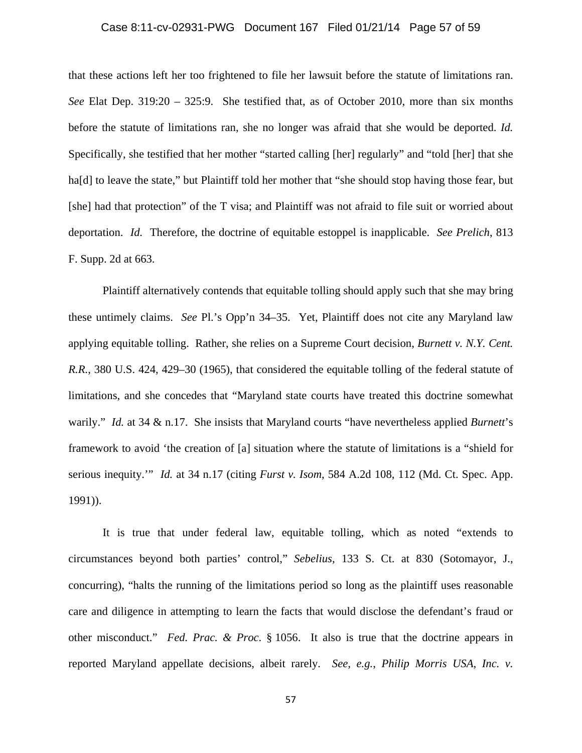# Case 8:11-cv-02931-PWG Document 167 Filed 01/21/14 Page 57 of 59

that these actions left her too frightened to file her lawsuit before the statute of limitations ran. *See* Elat Dep. 319:20 – 325:9. She testified that, as of October 2010, more than six months before the statute of limitations ran, she no longer was afraid that she would be deported. *Id.* Specifically, she testified that her mother "started calling [her] regularly" and "told [her] that she ha<sup>[d]</sup> to leave the state," but Plaintiff told her mother that "she should stop having those fear, but [she] had that protection" of the T visa; and Plaintiff was not afraid to file suit or worried about deportation. *Id.* Therefore, the doctrine of equitable estoppel is inapplicable. *See Prelich*, 813 F. Supp. 2d at 663.

Plaintiff alternatively contends that equitable tolling should apply such that she may bring these untimely claims. *See* Pl.'s Opp'n 34–35. Yet, Plaintiff does not cite any Maryland law applying equitable tolling. Rather, she relies on a Supreme Court decision, *Burnett v. N.Y. Cent. R.R.*, 380 U.S. 424, 429–30 (1965), that considered the equitable tolling of the federal statute of limitations, and she concedes that "Maryland state courts have treated this doctrine somewhat warily." *Id.* at 34 & n.17. She insists that Maryland courts "have nevertheless applied *Burnett*'s framework to avoid 'the creation of [a] situation where the statute of limitations is a "shield for serious inequity.'" *Id.* at 34 n.17 (citing *Furst v. Isom*, 584 A.2d 108, 112 (Md. Ct. Spec. App. 1991)).

It is true that under federal law, equitable tolling, which as noted "extends to circumstances beyond both parties' control," *Sebelius*, 133 S. Ct. at 830 (Sotomayor, J., concurring), "halts the running of the limitations period so long as the plaintiff uses reasonable care and diligence in attempting to learn the facts that would disclose the defendant's fraud or other misconduct." *Fed. Prac. & Proc*. § 1056. It also is true that the doctrine appears in reported Maryland appellate decisions, albeit rarely. *See, e.g.*, *Philip Morris USA, Inc. v.* 

57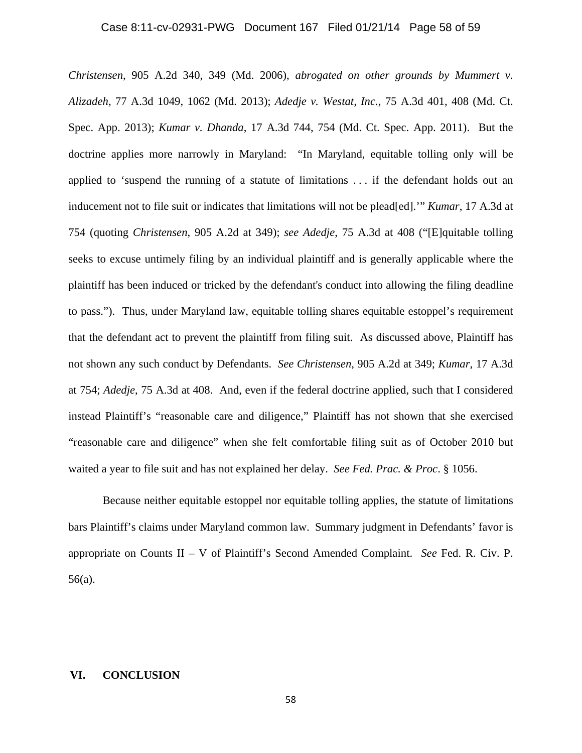#### Case 8:11-cv-02931-PWG Document 167 Filed 01/21/14 Page 58 of 59

*Christensen*, 905 A.2d 340, 349 (Md. 2006), *abrogated on other grounds by Mummert v. Alizadeh*, 77 A.3d 1049, 1062 (Md. 2013); *Adedje v. Westat, Inc.*, 75 A.3d 401, 408 (Md. Ct. Spec. App. 2013); *Kumar v. Dhanda*, 17 A.3d 744, 754 (Md. Ct. Spec. App. 2011). But the doctrine applies more narrowly in Maryland: "In Maryland, equitable tolling only will be applied to 'suspend the running of a statute of limitations . . . if the defendant holds out an inducement not to file suit or indicates that limitations will not be plead[ed].'" *Kumar*, 17 A.3d at 754 (quoting *Christensen*, 905 A.2d at 349); *see Adedje*, 75 A.3d at 408 ("[E]quitable tolling seeks to excuse untimely filing by an individual plaintiff and is generally applicable where the plaintiff has been induced or tricked by the defendant's conduct into allowing the filing deadline to pass."). Thus, under Maryland law, equitable tolling shares equitable estoppel's requirement that the defendant act to prevent the plaintiff from filing suit. As discussed above, Plaintiff has not shown any such conduct by Defendants. *See Christensen*, 905 A.2d at 349; *Kumar*, 17 A.3d at 754; *Adedje*, 75 A.3d at 408. And, even if the federal doctrine applied, such that I considered instead Plaintiff's "reasonable care and diligence," Plaintiff has not shown that she exercised "reasonable care and diligence" when she felt comfortable filing suit as of October 2010 but waited a year to file suit and has not explained her delay. *See Fed. Prac. & Proc*. § 1056.

 Because neither equitable estoppel nor equitable tolling applies, the statute of limitations bars Plaintiff's claims under Maryland common law. Summary judgment in Defendants' favor is appropriate on Counts II – V of Plaintiff's Second Amended Complaint. *See* Fed. R. Civ. P. 56(a).

#### **VI. CONCLUSION**